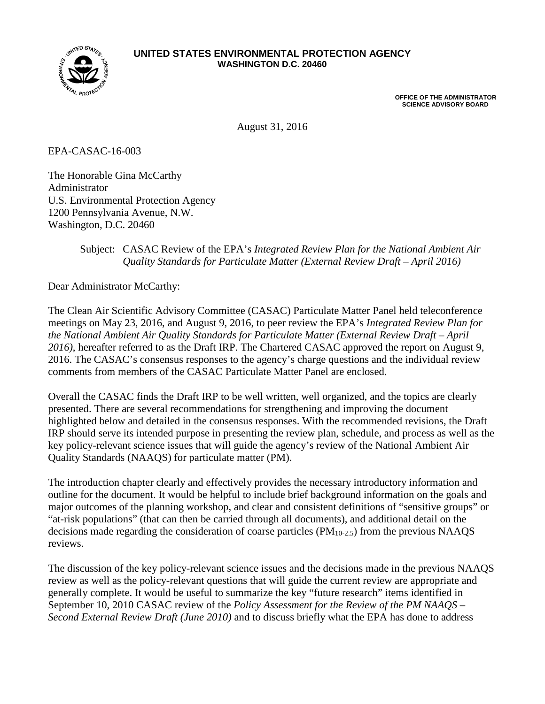

#### **UNITED STATES ENVIRONMENTAL PROTECTION AGENCY WASHINGTON D.C. 20460**

**OFFICE OF THE ADMINISTRATOR SCIENCE ADVISORY BOARD**

August 31, 2016

EPA-CASAC-16-003

The Honorable Gina McCarthy Administrator U.S. Environmental Protection Agency 1200 Pennsylvania Avenue, N.W. Washington, D.C. 20460

#### Subject: CASAC Review of the EPA's *Integrated Review Plan for the National Ambient Air Quality Standards for Particulate Matter (External Review Draft – April 2016)*

Dear Administrator McCarthy:

The Clean Air Scientific Advisory Committee (CASAC) Particulate Matter Panel held teleconference meetings on May 23, 2016, and August 9, 2016, to peer review the EPA's *Integrated Review Plan for the National Ambient Air Quality Standards for Particulate Matter (External Review Draft – April 2016)*, hereafter referred to as the Draft IRP. The Chartered CASAC approved the report on August 9, 2016. The CASAC's consensus responses to the agency's charge questions and the individual review comments from members of the CASAC Particulate Matter Panel are enclosed.

Overall the CASAC finds the Draft IRP to be well written, well organized, and the topics are clearly presented. There are several recommendations for strengthening and improving the document highlighted below and detailed in the consensus responses. With the recommended revisions, the Draft IRP should serve its intended purpose in presenting the review plan, schedule, and process as well as the key policy-relevant science issues that will guide the agency's review of the National Ambient Air Quality Standards (NAAQS) for particulate matter (PM).

The introduction chapter clearly and effectively provides the necessary introductory information and outline for the document. It would be helpful to include brief background information on the goals and major outcomes of the planning workshop, and clear and consistent definitions of "sensitive groups" or "at-risk populations" (that can then be carried through all documents), and additional detail on the decisions made regarding the consideration of coarse particles (PM10-2.5) from the previous NAAQS reviews.

The discussion of the key policy-relevant science issues and the decisions made in the previous NAAQS review as well as the policy-relevant questions that will guide the current review are appropriate and generally complete. It would be useful to summarize the key "future research" items identified in September 10, 2010 CASAC review of the *Policy Assessment for the Review of the PM NAAQS – Second External Review Draft (June 2010)* and to discuss briefly what the EPA has done to address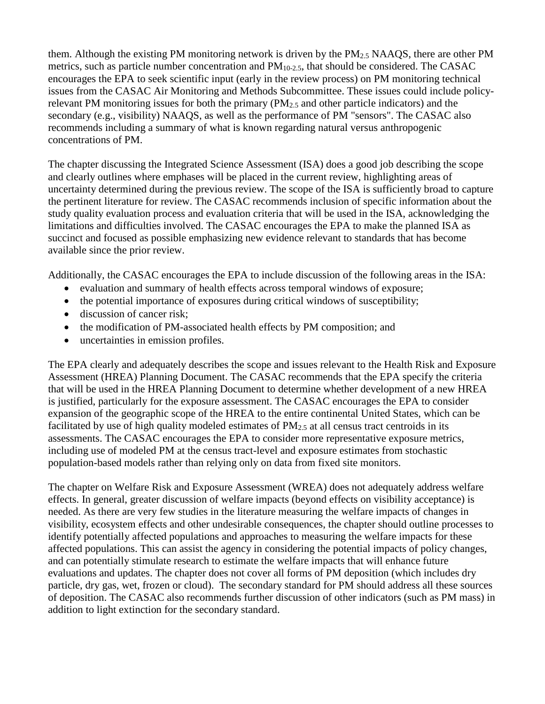them. Although the existing PM monitoring network is driven by the  $PM_{2.5}$  NAAOS, there are other PM metrics, such as particle number concentration and  $PM<sub>10-2.5</sub>$ , that should be considered. The CASAC encourages the EPA to seek scientific input (early in the review process) on PM monitoring technical issues from the CASAC Air Monitoring and Methods Subcommittee. These issues could include policyrelevant PM monitoring issues for both the primary (PM2.5 and other particle indicators) and the secondary (e.g., visibility) NAAQS, as well as the performance of PM "sensors". The CASAC also recommends including a summary of what is known regarding natural versus anthropogenic concentrations of PM.

The chapter discussing the Integrated Science Assessment (ISA) does a good job describing the scope and clearly outlines where emphases will be placed in the current review, highlighting areas of uncertainty determined during the previous review. The scope of the ISA is sufficiently broad to capture the pertinent literature for review. The CASAC recommends inclusion of specific information about the study quality evaluation process and evaluation criteria that will be used in the ISA, acknowledging the limitations and difficulties involved. The CASAC encourages the EPA to make the planned ISA as succinct and focused as possible emphasizing new evidence relevant to standards that has become available since the prior review.

Additionally, the CASAC encourages the EPA to include discussion of the following areas in the ISA:

- evaluation and summary of health effects across temporal windows of exposure;
- the potential importance of exposures during critical windows of susceptibility;
- discussion of cancer risk:
- the modification of PM-associated health effects by PM composition; and
- uncertainties in emission profiles.

The EPA clearly and adequately describes the scope and issues relevant to the Health Risk and Exposure Assessment (HREA) Planning Document. The CASAC recommends that the EPA specify the criteria that will be used in the HREA Planning Document to determine whether development of a new HREA is justified, particularly for the exposure assessment. The CASAC encourages the EPA to consider expansion of the geographic scope of the HREA to the entire continental United States, which can be facilitated by use of high quality modeled estimates of  $PM_{2.5}$  at all census tract centroids in its assessments. The CASAC encourages the EPA to consider more representative exposure metrics, including use of modeled PM at the census tract-level and exposure estimates from stochastic population-based models rather than relying only on data from fixed site monitors.

The chapter on Welfare Risk and Exposure Assessment (WREA) does not adequately address welfare effects. In general, greater discussion of welfare impacts (beyond effects on visibility acceptance) is needed. As there are very few studies in the literature measuring the welfare impacts of changes in visibility, ecosystem effects and other undesirable consequences, the chapter should outline processes to identify potentially affected populations and approaches to measuring the welfare impacts for these affected populations. This can assist the agency in considering the potential impacts of policy changes, and can potentially stimulate research to estimate the welfare impacts that will enhance future evaluations and updates. The chapter does not cover all forms of PM deposition (which includes dry particle, dry gas, wet, frozen or cloud). The secondary standard for PM should address all these sources of deposition. The CASAC also recommends further discussion of other indicators (such as PM mass) in addition to light extinction for the secondary standard.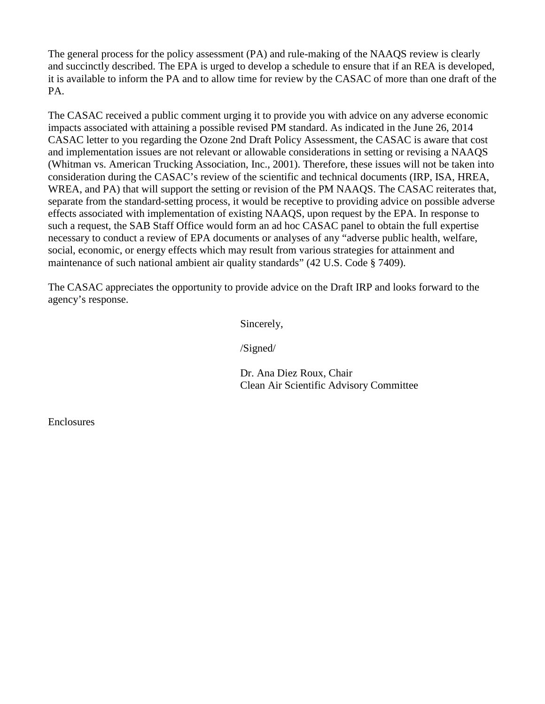The general process for the policy assessment (PA) and rule-making of the NAAQS review is clearly and succinctly described. The EPA is urged to develop a schedule to ensure that if an REA is developed, it is available to inform the PA and to allow time for review by the CASAC of more than one draft of the PA.

The CASAC received a public comment urging it to provide you with advice on any adverse economic impacts associated with attaining a possible revised PM standard. As indicated in the June 26, 2014 CASAC letter to you regarding the Ozone 2nd Draft Policy Assessment, the CASAC is aware that cost and implementation issues are not relevant or allowable considerations in setting or revising a NAAQS (Whitman vs. American Trucking Association, Inc., 2001). Therefore, these issues will not be taken into consideration during the CASAC's review of the scientific and technical documents (IRP, ISA, HREA, WREA, and PA) that will support the setting or revision of the PM NAAQS. The CASAC reiterates that, separate from the standard-setting process, it would be receptive to providing advice on possible adverse effects associated with implementation of existing NAAQS, upon request by the EPA. In response to such a request, the SAB Staff Office would form an ad hoc CASAC panel to obtain the full expertise necessary to conduct a review of EPA documents or analyses of any "adverse public health, welfare, social, economic, or energy effects which may result from various strategies for attainment and maintenance of such national ambient air quality standards" (42 U.S. Code § 7409).

The CASAC appreciates the opportunity to provide advice on the Draft IRP and looks forward to the agency's response.

Sincerely,

/Signed/

Dr. Ana Diez Roux, Chair Clean Air Scientific Advisory Committee

**Enclosures**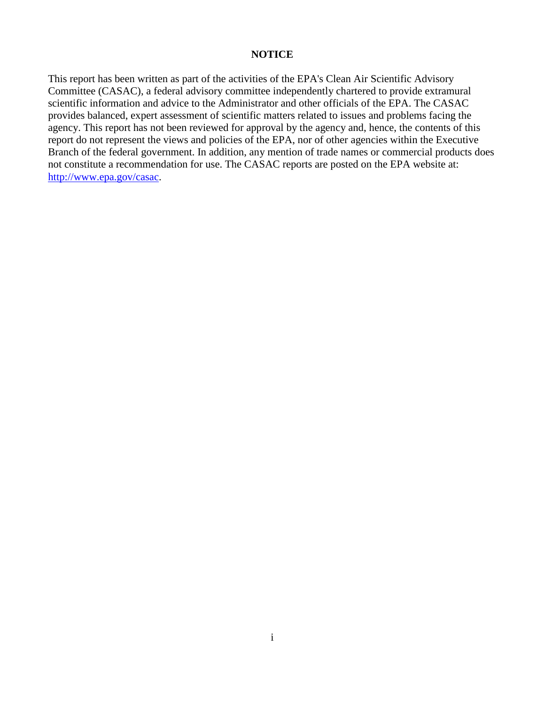#### **NOTICE**

This report has been written as part of the activities of the EPA's Clean Air Scientific Advisory Committee (CASAC), a federal advisory committee independently chartered to provide extramural scientific information and advice to the Administrator and other officials of the EPA. The CASAC provides balanced, expert assessment of scientific matters related to issues and problems facing the agency. This report has not been reviewed for approval by the agency and, hence, the contents of this report do not represent the views and policies of the EPA, nor of other agencies within the Executive Branch of the federal government. In addition, any mention of trade names or commercial products does not constitute a recommendation for use. The CASAC reports are posted on the EPA website at: [http://www.epa.gov/casac.](http://www.epa.gov/casac)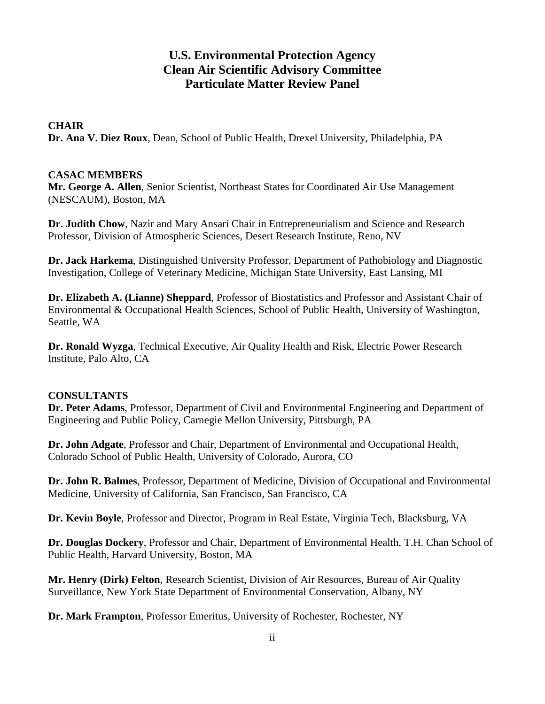## **U.S. Environmental Protection Agency Clean Air Scientific Advisory Committee Particulate Matter Review Panel**

#### **CHAIR**

**Dr. Ana V. Diez Roux**, Dean, School of Public Health, Drexel University, Philadelphia, PA

#### **CASAC MEMBERS**

**Mr. George A. Allen**, Senior Scientist, Northeast States for Coordinated Air Use Management (NESCAUM), Boston, MA

**Dr. Judith Chow**, Nazir and Mary Ansari Chair in Entrepreneurialism and Science and Research Professor, Division of Atmospheric Sciences, Desert Research Institute, Reno, NV

**Dr. Jack Harkema**, Distinguished University Professor, Department of Pathobiology and Diagnostic Investigation, College of Veterinary Medicine, Michigan State University, East Lansing, MI

**Dr. Elizabeth A. (Lianne) Sheppard**, Professor of Biostatistics and Professor and Assistant Chair of Environmental & Occupational Health Sciences, School of Public Health, University of Washington, Seattle, WA

**Dr. Ronald Wyzga**, Technical Executive, Air Quality Health and Risk, Electric Power Research Institute, Palo Alto, CA

#### **CONSULTANTS**

**Dr. Peter Adams**, Professor, Department of Civil and Environmental Engineering and Department of Engineering and Public Policy, Carnegie Mellon University, Pittsburgh, PA

**Dr. John Adgate**, Professor and Chair, Department of Environmental and Occupational Health, Colorado School of Public Health, University of Colorado, Aurora, CO

**Dr. John R. Balmes**, Professor, Department of Medicine, Division of Occupational and Environmental Medicine, University of California, San Francisco, San Francisco, CA

**Dr. Kevin Boyle**, Professor and Director, Program in Real Estate, Virginia Tech, Blacksburg, VA

**Dr. Douglas Dockery**, Professor and Chair, Department of Environmental Health, T.H. Chan School of Public Health, Harvard University, Boston, MA

**Mr. Henry (Dirk) Felton**, Research Scientist, Division of Air Resources, Bureau of Air Quality Surveillance, New York State Department of Environmental Conservation, Albany, NY

**Dr. Mark Frampton**, Professor Emeritus, University of Rochester, Rochester, NY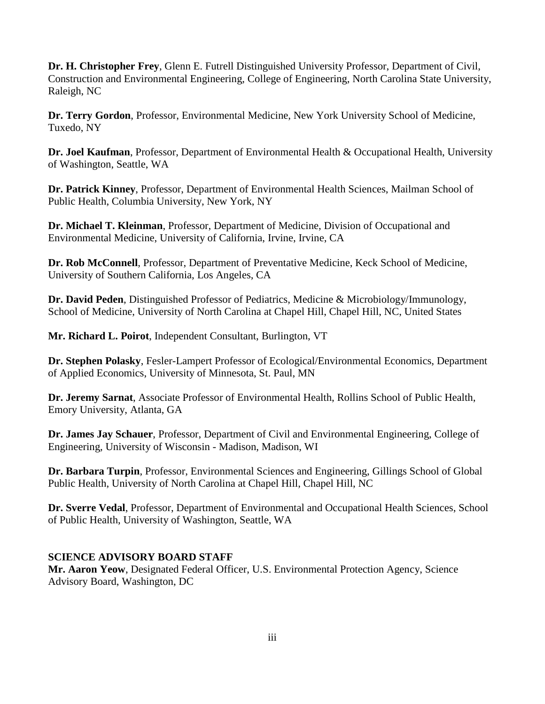**Dr. H. Christopher Frey**, Glenn E. Futrell Distinguished University Professor, Department of Civil, Construction and Environmental Engineering, College of Engineering, North Carolina State University, Raleigh, NC

**Dr. Terry Gordon**, Professor, Environmental Medicine, New York University School of Medicine, Tuxedo, NY

**Dr. Joel Kaufman**, Professor, Department of Environmental Health & Occupational Health, University of Washington, Seattle, WA

**Dr. Patrick Kinney**, Professor, Department of Environmental Health Sciences, Mailman School of Public Health, Columbia University, New York, NY

**Dr. Michael T. Kleinman**, Professor, Department of Medicine, Division of Occupational and Environmental Medicine, University of California, Irvine, Irvine, CA

**Dr. Rob McConnell**, Professor, Department of Preventative Medicine, Keck School of Medicine, University of Southern California, Los Angeles, CA

**Dr. David Peden**, Distinguished Professor of Pediatrics, Medicine & Microbiology/Immunology, School of Medicine, University of North Carolina at Chapel Hill, Chapel Hill, NC, United States

**Mr. Richard L. Poirot**, Independent Consultant, Burlington, VT

**Dr. Stephen Polasky**, Fesler-Lampert Professor of Ecological/Environmental Economics, Department of Applied Economics, University of Minnesota, St. Paul, MN

**Dr. Jeremy Sarnat**, Associate Professor of Environmental Health, Rollins School of Public Health, Emory University, Atlanta, GA

**Dr. James Jay Schauer**, Professor, Department of Civil and Environmental Engineering, College of Engineering, University of Wisconsin - Madison, Madison, WI

**Dr. Barbara Turpin**, Professor, Environmental Sciences and Engineering, Gillings School of Global Public Health, University of North Carolina at Chapel Hill, Chapel Hill, NC

**Dr. Sverre Vedal**, Professor, Department of Environmental and Occupational Health Sciences, School of Public Health, University of Washington, Seattle, WA

### **SCIENCE ADVISORY BOARD STAFF**

**Mr. Aaron Yeow**, Designated Federal Officer, U.S. Environmental Protection Agency, Science Advisory Board, Washington, DC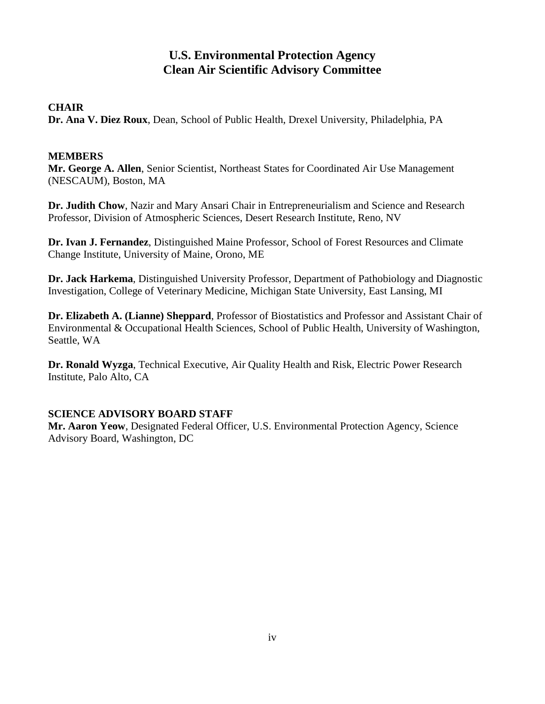## **U.S. Environmental Protection Agency Clean Air Scientific Advisory Committee**

### **CHAIR**

**Dr. Ana V. Diez Roux**, Dean, School of Public Health, Drexel University, Philadelphia, PA

#### **MEMBERS**

**Mr. George A. Allen**, Senior Scientist, Northeast States for Coordinated Air Use Management (NESCAUM), Boston, MA

**Dr. Judith Chow**, Nazir and Mary Ansari Chair in Entrepreneurialism and Science and Research Professor, Division of Atmospheric Sciences, Desert Research Institute, Reno, NV

**Dr. Ivan J. Fernandez**, Distinguished Maine Professor, School of Forest Resources and Climate Change Institute, University of Maine, Orono, ME

**Dr. Jack Harkema**, Distinguished University Professor, Department of Pathobiology and Diagnostic Investigation, College of Veterinary Medicine, Michigan State University, East Lansing, MI

**Dr. Elizabeth A. (Lianne) Sheppard**, Professor of Biostatistics and Professor and Assistant Chair of Environmental & Occupational Health Sciences, School of Public Health, University of Washington, Seattle, WA

**Dr. Ronald Wyzga**, Technical Executive, Air Quality Health and Risk, Electric Power Research Institute, Palo Alto, CA

### **SCIENCE ADVISORY BOARD STAFF**

**Mr. Aaron Yeow**, Designated Federal Officer, U.S. Environmental Protection Agency, Science Advisory Board, Washington, DC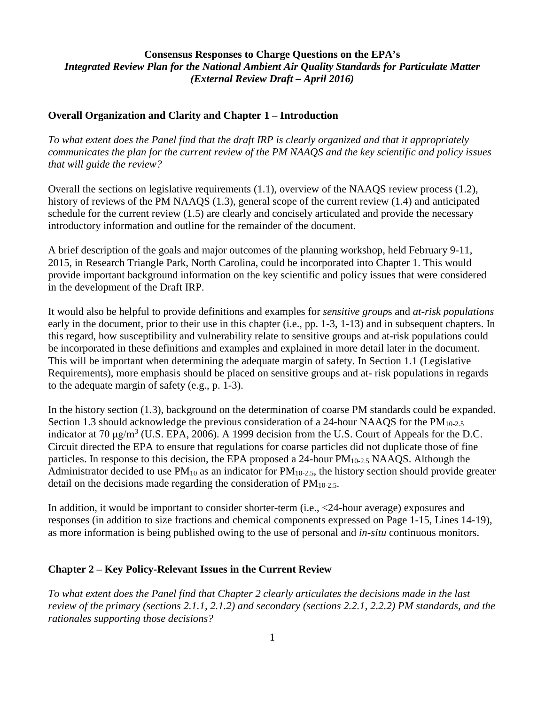#### **Consensus Responses to Charge Questions on the EPA's** *Integrated Review Plan for the National Ambient Air Quality Standards for Particulate Matter (External Review Draft – April 2016)*

#### **Overall Organization and Clarity and Chapter 1 – Introduction**

*To what extent does the Panel find that the draft IRP is clearly organized and that it appropriately communicates the plan for the current review of the PM NAAQS and the key scientific and policy issues that will guide the review?*

Overall the sections on legislative requirements (1.1), overview of the NAAQS review process (1.2), history of reviews of the PM NAAQS (1.3), general scope of the current review (1.4) and anticipated schedule for the current review (1.5) are clearly and concisely articulated and provide the necessary introductory information and outline for the remainder of the document.

A brief description of the goals and major outcomes of the planning workshop, held February 9-11, 2015, in Research Triangle Park, North Carolina, could be incorporated into Chapter 1. This would provide important background information on the key scientific and policy issues that were considered in the development of the Draft IRP.

It would also be helpful to provide definitions and examples for *sensitive group*s and *at-risk populations*  early in the document, prior to their use in this chapter (i.e., pp. 1-3, 1-13) and in subsequent chapters. In this regard, how susceptibility and vulnerability relate to sensitive groups and at-risk populations could be incorporated in these definitions and examples and explained in more detail later in the document. This will be important when determining the adequate margin of safety. In Section 1.1 (Legislative Requirements), more emphasis should be placed on sensitive groups and at- risk populations in regards to the adequate margin of safety (e.g., p. 1-3).

In the history section (1.3), background on the determination of coarse PM standards could be expanded. Section 1.3 should acknowledge the previous consideration of a 24-hour NAAOS for the  $PM_{10-2.5}$ indicator at 70  $\mu$ g/m<sup>3</sup> (U.S. EPA, 2006). A 1999 decision from the U.S. Court of Appeals for the D.C. Circuit directed the EPA to ensure that regulations for coarse particles did not duplicate those of fine particles. In response to this decision, the EPA proposed a 24-hour  $PM_{10-2.5}$  NAAQS. Although the Administrator decided to use  $PM_{10}$  as an indicator for  $PM_{10-2.5}$ , the history section should provide greater detail on the decisions made regarding the consideration of PM10-2.5.

In addition, it would be important to consider shorter-term (i.e., <24-hour average) exposures and responses (in addition to size fractions and chemical components expressed on Page 1-15, Lines 14-19), as more information is being published owing to the use of personal and *in-situ* continuous monitors.

#### **Chapter 2 – Key Policy-Relevant Issues in the Current Review**

*To what extent does the Panel find that Chapter 2 clearly articulates the decisions made in the last review of the primary (sections 2.1.1, 2.1.2) and secondary (sections 2.2.1, 2.2.2) PM standards, and the rationales supporting those decisions?*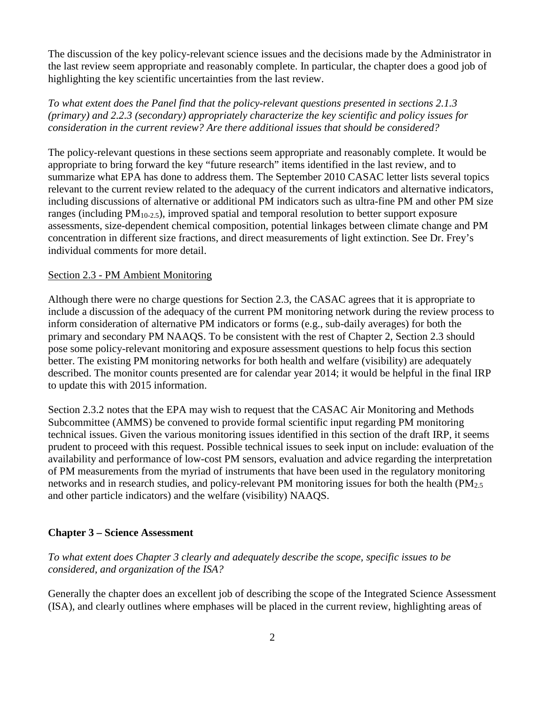The discussion of the key policy-relevant science issues and the decisions made by the Administrator in the last review seem appropriate and reasonably complete. In particular, the chapter does a good job of highlighting the key scientific uncertainties from the last review.

*To what extent does the Panel find that the policy-relevant questions presented in sections 2.1.3 (primary) and 2.2.3 (secondary) appropriately characterize the key scientific and policy issues for consideration in the current review? Are there additional issues that should be considered?*

The policy-relevant questions in these sections seem appropriate and reasonably complete. It would be appropriate to bring forward the key "future research" items identified in the last review, and to summarize what EPA has done to address them. The September 2010 CASAC letter lists several topics relevant to the current review related to the adequacy of the current indicators and alternative indicators, including discussions of alternative or additional PM indicators such as ultra-fine PM and other PM size ranges (including  $PM_{10-2.5}$ ), improved spatial and temporal resolution to better support exposure assessments, size-dependent chemical composition, potential linkages between climate change and PM concentration in different size fractions, and direct measurements of light extinction. See Dr. Frey's individual comments for more detail.

#### Section 2.3 - PM Ambient Monitoring

Although there were no charge questions for Section 2.3, the CASAC agrees that it is appropriate to include a discussion of the adequacy of the current PM monitoring network during the review process to inform consideration of alternative PM indicators or forms (e.g., sub-daily averages) for both the primary and secondary PM NAAQS. To be consistent with the rest of Chapter 2, Section 2.3 should pose some policy-relevant monitoring and exposure assessment questions to help focus this section better. The existing PM monitoring networks for both health and welfare (visibility) are adequately described. The monitor counts presented are for calendar year 2014; it would be helpful in the final IRP to update this with 2015 information.

Section 2.3.2 notes that the EPA may wish to request that the CASAC Air Monitoring and Methods Subcommittee (AMMS) be convened to provide formal scientific input regarding PM monitoring technical issues. Given the various monitoring issues identified in this section of the draft IRP, it seems prudent to proceed with this request. Possible technical issues to seek input on include: evaluation of the availability and performance of low-cost PM sensors, evaluation and advice regarding the interpretation of PM measurements from the myriad of instruments that have been used in the regulatory monitoring networks and in research studies, and policy-relevant PM monitoring issues for both the health (PM<sub>2.5</sub>) and other particle indicators) and the welfare (visibility) NAAQS.

#### **Chapter 3 – Science Assessment**

*To what extent does Chapter 3 clearly and adequately describe the scope, specific issues to be considered, and organization of the ISA?*

Generally the chapter does an excellent job of describing the scope of the Integrated Science Assessment (ISA), and clearly outlines where emphases will be placed in the current review, highlighting areas of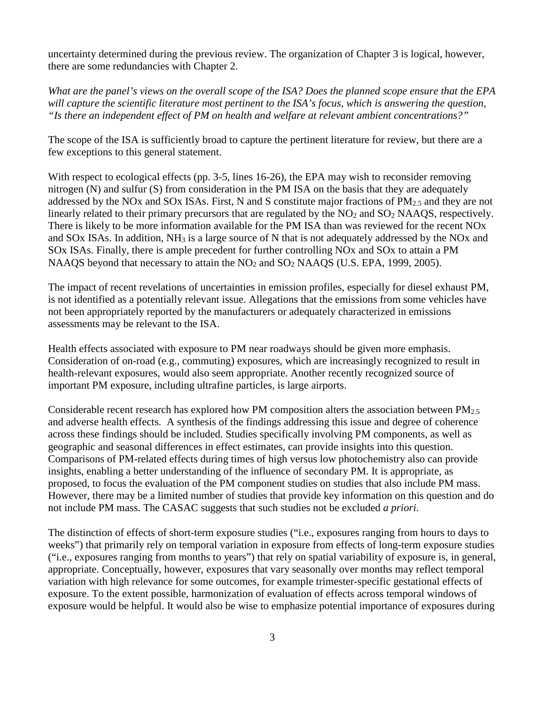uncertainty determined during the previous review. The organization of Chapter 3 is logical, however, there are some redundancies with Chapter 2.

*What are the panel's views on the overall scope of the ISA? Does the planned scope ensure that the EPA will capture the scientific literature most pertinent to the ISA's focus, which is answering the question, "Is there an independent effect of PM on health and welfare at relevant ambient concentrations?"*

The scope of the ISA is sufficiently broad to capture the pertinent literature for review, but there are a few exceptions to this general statement.

With respect to ecological effects (pp. 3-5, lines 16-26), the EPA may wish to reconsider removing nitrogen (N) and sulfur (S) from consideration in the PM ISA on the basis that they are adequately addressed by the NOx and SOx ISAs. First, N and S constitute major fractions of PM2.5 and they are not linearly related to their primary precursors that are regulated by the  $NO<sub>2</sub>$  and  $SO<sub>2</sub>$  NAAQS, respectively. There is likely to be more information available for the PM ISA than was reviewed for the recent NOx and SOx ISAs. In addition, NH3 is a large source of N that is not adequately addressed by the NOx and SOx ISAs. Finally, there is ample precedent for further controlling NOx and SOx to attain a PM NAAQS beyond that necessary to attain the NO<sub>2</sub> and SO<sub>2</sub> NAAQS (U.S. EPA, 1999, 2005).

The impact of recent revelations of uncertainties in emission profiles, especially for diesel exhaust PM, is not identified as a potentially relevant issue. Allegations that the emissions from some vehicles have not been appropriately reported by the manufacturers or adequately characterized in emissions assessments may be relevant to the ISA.

Health effects associated with exposure to PM near roadways should be given more emphasis. Consideration of on-road (e.g., commuting) exposures, which are increasingly recognized to result in health-relevant exposures, would also seem appropriate. Another recently recognized source of important PM exposure, including ultrafine particles, is large airports.

Considerable recent research has explored how PM composition alters the association between  $PM_{2.5}$ and adverse health effects. A synthesis of the findings addressing this issue and degree of coherence across these findings should be included. Studies specifically involving PM components, as well as geographic and seasonal differences in effect estimates, can provide insights into this question. Comparisons of PM-related effects during times of high versus low photochemistry also can provide insights, enabling a better understanding of the influence of secondary PM. It is appropriate, as proposed, to focus the evaluation of the PM component studies on studies that also include PM mass. However, there may be a limited number of studies that provide key information on this question and do not include PM mass. The CASAC suggests that such studies not be excluded *a priori*.

The distinction of effects of short-term exposure studies ("i.e., exposures ranging from hours to days to weeks") that primarily rely on temporal variation in exposure from effects of long-term exposure studies ("i.e., exposures ranging from months to years") that rely on spatial variability of exposure is, in general, appropriate. Conceptually, however, exposures that vary seasonally over months may reflect temporal variation with high relevance for some outcomes, for example trimester-specific gestational effects of exposure. To the extent possible, harmonization of evaluation of effects across temporal windows of exposure would be helpful. It would also be wise to emphasize potential importance of exposures during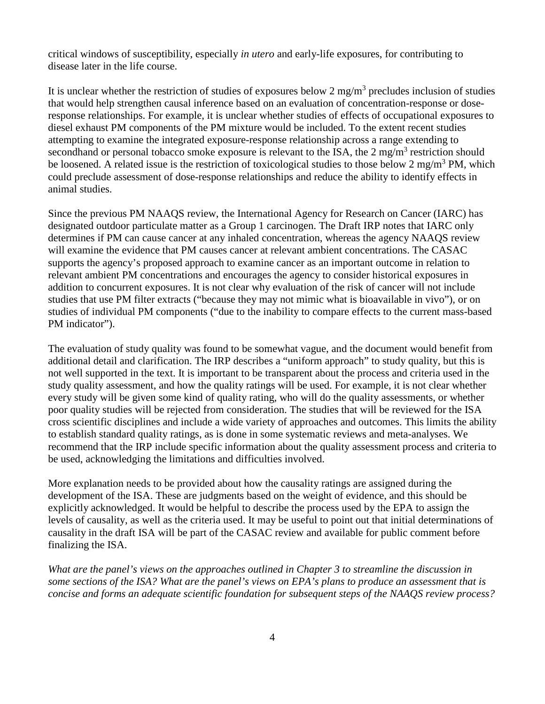critical windows of susceptibility, especially *in utero* and early-life exposures, for contributing to disease later in the life course.

It is unclear whether the restriction of studies of exposures below 2 mg/m<sup>3</sup> precludes inclusion of studies that would help strengthen causal inference based on an evaluation of concentration-response or doseresponse relationships. For example, it is unclear whether studies of effects of occupational exposures to diesel exhaust PM components of the PM mixture would be included. To the extent recent studies attempting to examine the integrated exposure-response relationship across a range extending to secondhand or personal tobacco smoke exposure is relevant to the ISA, the  $2 \text{ mg/m}^3$  restriction should be loosened. A related issue is the restriction of toxicological studies to those below 2 mg/m<sup>3</sup> PM, which could preclude assessment of dose-response relationships and reduce the ability to identify effects in animal studies.

Since the previous PM NAAQS review, the International Agency for Research on Cancer (IARC) has designated outdoor particulate matter as a Group 1 carcinogen. The Draft IRP notes that IARC only determines if PM can cause cancer at any inhaled concentration, whereas the agency NAAQS review will examine the evidence that PM causes cancer at relevant ambient concentrations. The CASAC supports the agency's proposed approach to examine cancer as an important outcome in relation to relevant ambient PM concentrations and encourages the agency to consider historical exposures in addition to concurrent exposures. It is not clear why evaluation of the risk of cancer will not include studies that use PM filter extracts ("because they may not mimic what is bioavailable in vivo"), or on studies of individual PM components ("due to the inability to compare effects to the current mass-based PM indicator").

The evaluation of study quality was found to be somewhat vague, and the document would benefit from additional detail and clarification. The IRP describes a "uniform approach" to study quality, but this is not well supported in the text. It is important to be transparent about the process and criteria used in the study quality assessment, and how the quality ratings will be used. For example, it is not clear whether every study will be given some kind of quality rating, who will do the quality assessments, or whether poor quality studies will be rejected from consideration. The studies that will be reviewed for the ISA cross scientific disciplines and include a wide variety of approaches and outcomes. This limits the ability to establish standard quality ratings, as is done in some systematic reviews and meta-analyses. We recommend that the IRP include specific information about the quality assessment process and criteria to be used, acknowledging the limitations and difficulties involved.

More explanation needs to be provided about how the causality ratings are assigned during the development of the ISA. These are judgments based on the weight of evidence, and this should be explicitly acknowledged. It would be helpful to describe the process used by the EPA to assign the levels of causality, as well as the criteria used. It may be useful to point out that initial determinations of causality in the draft ISA will be part of the CASAC review and available for public comment before finalizing the ISA.

*What are the panel's views on the approaches outlined in Chapter 3 to streamline the discussion in some sections of the ISA? What are the panel's views on EPA's plans to produce an assessment that is concise and forms an adequate scientific foundation for subsequent steps of the NAAQS review process?*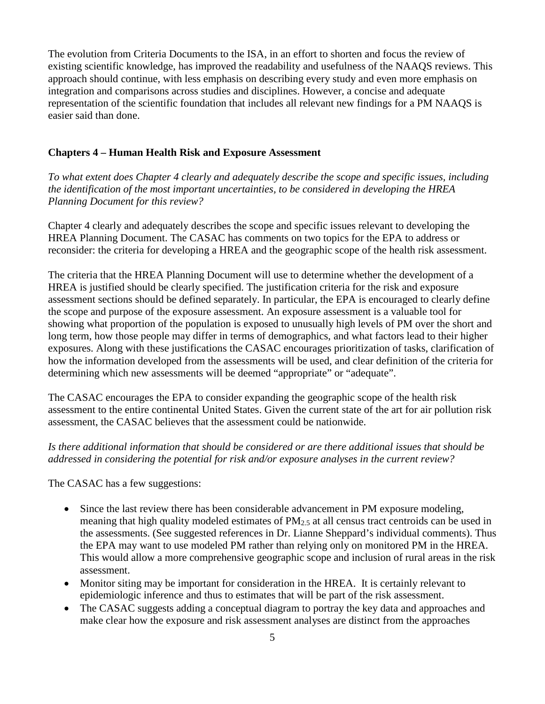The evolution from Criteria Documents to the ISA, in an effort to shorten and focus the review of existing scientific knowledge, has improved the readability and usefulness of the NAAQS reviews. This approach should continue, with less emphasis on describing every study and even more emphasis on integration and comparisons across studies and disciplines. However, a concise and adequate representation of the scientific foundation that includes all relevant new findings for a PM NAAQS is easier said than done.

#### **Chapters 4 – Human Health Risk and Exposure Assessment**

*To what extent does Chapter 4 clearly and adequately describe the scope and specific issues, including the identification of the most important uncertainties, to be considered in developing the HREA Planning Document for this review?*

Chapter 4 clearly and adequately describes the scope and specific issues relevant to developing the HREA Planning Document. The CASAC has comments on two topics for the EPA to address or reconsider: the criteria for developing a HREA and the geographic scope of the health risk assessment.

The criteria that the HREA Planning Document will use to determine whether the development of a HREA is justified should be clearly specified. The justification criteria for the risk and exposure assessment sections should be defined separately. In particular, the EPA is encouraged to clearly define the scope and purpose of the exposure assessment. An exposure assessment is a valuable tool for showing what proportion of the population is exposed to unusually high levels of PM over the short and long term, how those people may differ in terms of demographics, and what factors lead to their higher exposures. Along with these justifications the CASAC encourages prioritization of tasks, clarification of how the information developed from the assessments will be used, and clear definition of the criteria for determining which new assessments will be deemed "appropriate" or "adequate".

The CASAC encourages the EPA to consider expanding the geographic scope of the health risk assessment to the entire continental United States. Given the current state of the art for air pollution risk assessment, the CASAC believes that the assessment could be nationwide.

#### *Is there additional information that should be considered or are there additional issues that should be addressed in considering the potential for risk and/or exposure analyses in the current review?*

The CASAC has a few suggestions:

- Since the last review there has been considerable advancement in PM exposure modeling, meaning that high quality modeled estimates of  $PM_{2.5}$  at all census tract centroids can be used in the assessments. (See suggested references in Dr. Lianne Sheppard's individual comments). Thus the EPA may want to use modeled PM rather than relying only on monitored PM in the HREA. This would allow a more comprehensive geographic scope and inclusion of rural areas in the risk assessment.
- Monitor siting may be important for consideration in the HREA. It is certainly relevant to epidemiologic inference and thus to estimates that will be part of the risk assessment.
- The CASAC suggests adding a conceptual diagram to portray the key data and approaches and make clear how the exposure and risk assessment analyses are distinct from the approaches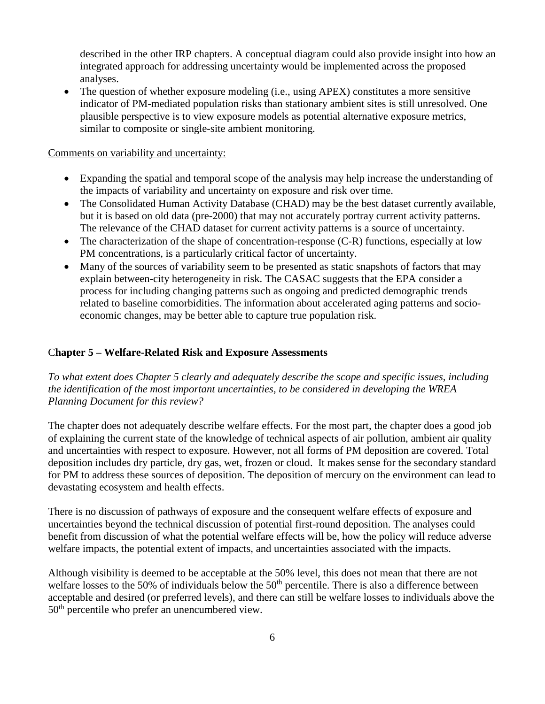described in the other IRP chapters. A conceptual diagram could also provide insight into how an integrated approach for addressing uncertainty would be implemented across the proposed analyses.

• The question of whether exposure modeling (i.e., using APEX) constitutes a more sensitive indicator of PM-mediated population risks than stationary ambient sites is still unresolved. One plausible perspective is to view exposure models as potential alternative exposure metrics, similar to composite or single-site ambient monitoring.

#### Comments on variability and uncertainty:

- Expanding the spatial and temporal scope of the analysis may help increase the understanding of the impacts of variability and uncertainty on exposure and risk over time.
- The Consolidated Human Activity Database (CHAD) may be the best dataset currently available, but it is based on old data (pre-2000) that may not accurately portray current activity patterns. The relevance of the CHAD dataset for current activity patterns is a source of uncertainty.
- The characterization of the shape of concentration-response (C-R) functions, especially at low PM concentrations, is a particularly critical factor of uncertainty.
- Many of the sources of variability seem to be presented as static snapshots of factors that may explain between-city heterogeneity in risk. The CASAC suggests that the EPA consider a process for including changing patterns such as ongoing and predicted demographic trends related to baseline comorbidities. The information about accelerated aging patterns and socioeconomic changes, may be better able to capture true population risk.

### C**hapter 5 – Welfare-Related Risk and Exposure Assessments**

*To what extent does Chapter 5 clearly and adequately describe the scope and specific issues, including the identification of the most important uncertainties, to be considered in developing the WREA Planning Document for this review?*

The chapter does not adequately describe welfare effects. For the most part, the chapter does a good job of explaining the current state of the knowledge of technical aspects of air pollution, ambient air quality and uncertainties with respect to exposure. However, not all forms of PM deposition are covered. Total deposition includes dry particle, dry gas, wet, frozen or cloud. It makes sense for the secondary standard for PM to address these sources of deposition. The deposition of mercury on the environment can lead to devastating ecosystem and health effects.

There is no discussion of pathways of exposure and the consequent welfare effects of exposure and uncertainties beyond the technical discussion of potential first-round deposition. The analyses could benefit from discussion of what the potential welfare effects will be, how the policy will reduce adverse welfare impacts, the potential extent of impacts, and uncertainties associated with the impacts.

Although visibility is deemed to be acceptable at the 50% level, this does not mean that there are not welfare losses to the 50% of individuals below the 50<sup>th</sup> percentile. There is also a difference between acceptable and desired (or preferred levels), and there can still be welfare losses to individuals above the 50th percentile who prefer an unencumbered view.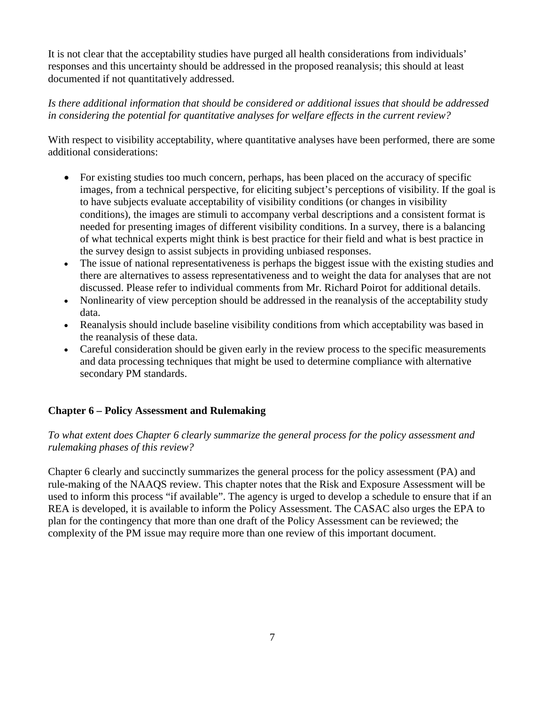It is not clear that the acceptability studies have purged all health considerations from individuals' responses and this uncertainty should be addressed in the proposed reanalysis; this should at least documented if not quantitatively addressed.

### *Is there additional information that should be considered or additional issues that should be addressed in considering the potential for quantitative analyses for welfare effects in the current review?*

With respect to visibility acceptability, where quantitative analyses have been performed, there are some additional considerations:

- For existing studies too much concern, perhaps, has been placed on the accuracy of specific images, from a technical perspective, for eliciting subject's perceptions of visibility. If the goal is to have subjects evaluate acceptability of visibility conditions (or changes in visibility conditions), the images are stimuli to accompany verbal descriptions and a consistent format is needed for presenting images of different visibility conditions. In a survey, there is a balancing of what technical experts might think is best practice for their field and what is best practice in the survey design to assist subjects in providing unbiased responses.
- The issue of national representativeness is perhaps the biggest issue with the existing studies and there are alternatives to assess representativeness and to weight the data for analyses that are not discussed. Please refer to individual comments from Mr. Richard Poirot for additional details.
- Nonlinearity of view perception should be addressed in the reanalysis of the acceptability study data.
- Reanalysis should include baseline visibility conditions from which acceptability was based in the reanalysis of these data.
- Careful consideration should be given early in the review process to the specific measurements and data processing techniques that might be used to determine compliance with alternative secondary PM standards.

## **Chapter 6 – Policy Assessment and Rulemaking**

*To what extent does Chapter 6 clearly summarize the general process for the policy assessment and rulemaking phases of this review?*

Chapter 6 clearly and succinctly summarizes the general process for the policy assessment (PA) and rule-making of the NAAQS review. This chapter notes that the Risk and Exposure Assessment will be used to inform this process "if available". The agency is urged to develop a schedule to ensure that if an REA is developed, it is available to inform the Policy Assessment. The CASAC also urges the EPA to plan for the contingency that more than one draft of the Policy Assessment can be reviewed; the complexity of the PM issue may require more than one review of this important document.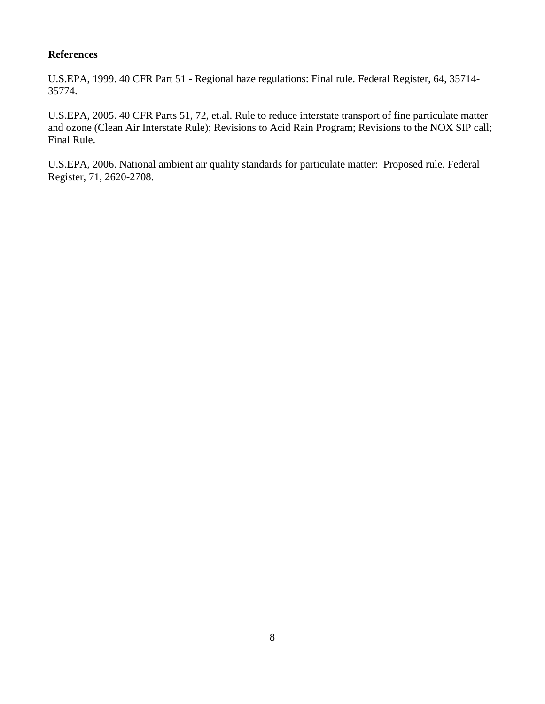#### **References**

U.S.EPA, 1999. 40 CFR Part 51 - Regional haze regulations: Final rule. Federal Register, 64, 35714- 35774.

U.S.EPA, 2005. 40 CFR Parts 51, 72, et.al. Rule to reduce interstate transport of fine particulate matter and ozone (Clean Air Interstate Rule); Revisions to Acid Rain Program; Revisions to the NOX SIP call; Final Rule.

U.S.EPA, 2006. National ambient air quality standards for particulate matter: Proposed rule. Federal Register, 71, 2620-2708.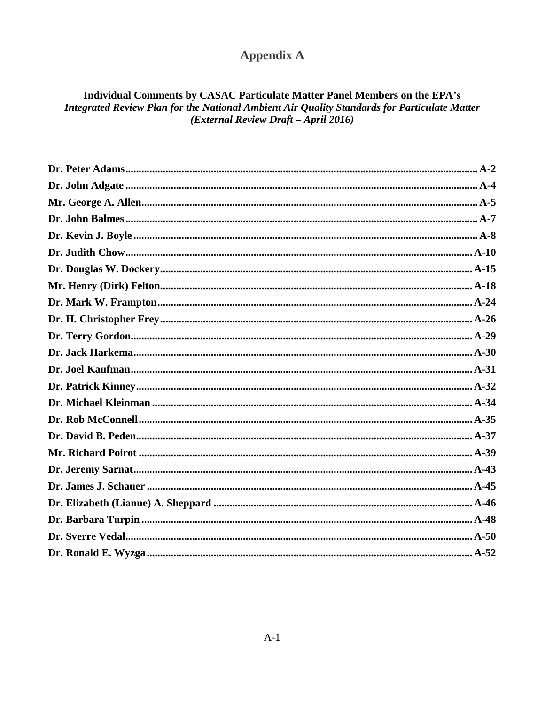# **Appendix A**

## Individual Comments by CASAC Particulate Matter Panel Members on the EPA's Integrated Review Plan for the National Ambient Air Quality Standards for Particulate Matter (External Review Draft - April 2016)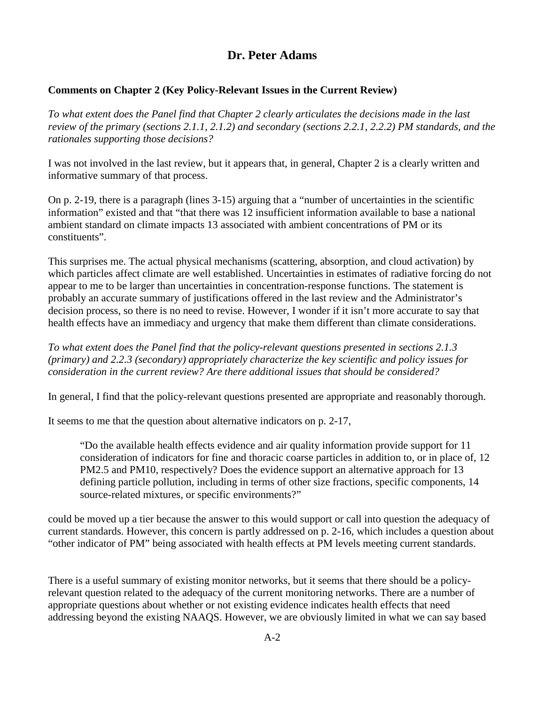## **Dr. Peter Adams**

#### <span id="page-16-0"></span>**Comments on Chapter 2 (Key Policy-Relevant Issues in the Current Review)**

*To what extent does the Panel find that Chapter 2 clearly articulates the decisions made in the last review of the primary (sections 2.1.1, 2.1.2) and secondary (sections 2.2.1, 2.2.2) PM standards, and the rationales supporting those decisions?* 

I was not involved in the last review, but it appears that, in general, Chapter 2 is a clearly written and informative summary of that process.

On p. 2-19, there is a paragraph (lines 3-15) arguing that a "number of uncertainties in the scientific information" existed and that "that there was 12 insufficient information available to base a national ambient standard on climate impacts 13 associated with ambient concentrations of PM or its constituents".

This surprises me. The actual physical mechanisms (scattering, absorption, and cloud activation) by which particles affect climate are well established. Uncertainties in estimates of radiative forcing do not appear to me to be larger than uncertainties in concentration-response functions. The statement is probably an accurate summary of justifications offered in the last review and the Administrator's decision process, so there is no need to revise. However, I wonder if it isn't more accurate to say that health effects have an immediacy and urgency that make them different than climate considerations.

*To what extent does the Panel find that the policy-relevant questions presented in sections 2.1.3 (primary) and 2.2.3 (secondary) appropriately characterize the key scientific and policy issues for consideration in the current review? Are there additional issues that should be considered?* 

In general, I find that the policy-relevant questions presented are appropriate and reasonably thorough.

It seems to me that the question about alternative indicators on p. 2-17,

"Do the available health effects evidence and air quality information provide support for 11 consideration of indicators for fine and thoracic coarse particles in addition to, or in place of, 12 PM2.5 and PM10, respectively? Does the evidence support an alternative approach for 13 defining particle pollution, including in terms of other size fractions, specific components, 14 source-related mixtures, or specific environments?"

could be moved up a tier because the answer to this would support or call into question the adequacy of current standards. However, this concern is partly addressed on p. 2-16, which includes a question about "other indicator of PM" being associated with health effects at PM levels meeting current standards.

There is a useful summary of existing monitor networks, but it seems that there should be a policyrelevant question related to the adequacy of the current monitoring networks. There are a number of appropriate questions about whether or not existing evidence indicates health effects that need addressing beyond the existing NAAQS. However, we are obviously limited in what we can say based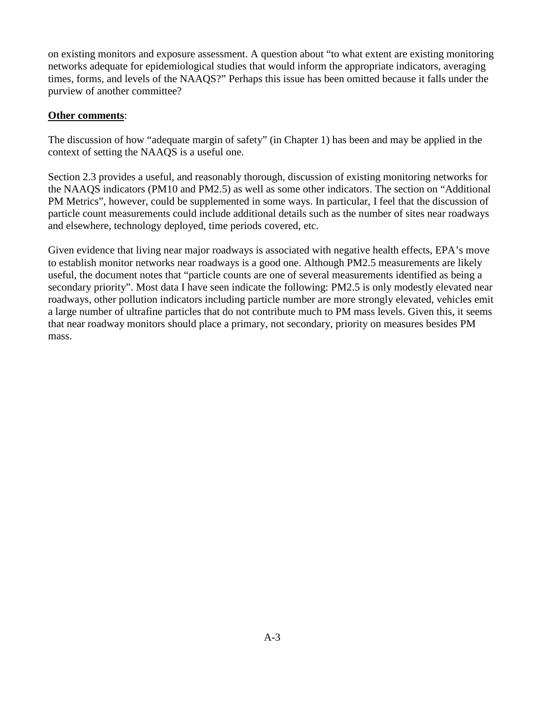on existing monitors and exposure assessment. A question about "to what extent are existing monitoring networks adequate for epidemiological studies that would inform the appropriate indicators, averaging times, forms, and levels of the NAAQS?" Perhaps this issue has been omitted because it falls under the purview of another committee?

#### **Other comments**:

The discussion of how "adequate margin of safety" (in Chapter 1) has been and may be applied in the context of setting the NAAQS is a useful one.

Section 2.3 provides a useful, and reasonably thorough, discussion of existing monitoring networks for the NAAQS indicators (PM10 and PM2.5) as well as some other indicators. The section on "Additional PM Metrics", however, could be supplemented in some ways. In particular, I feel that the discussion of particle count measurements could include additional details such as the number of sites near roadways and elsewhere, technology deployed, time periods covered, etc.

Given evidence that living near major roadways is associated with negative health effects, EPA's move to establish monitor networks near roadways is a good one. Although PM2.5 measurements are likely useful, the document notes that "particle counts are one of several measurements identified as being a secondary priority". Most data I have seen indicate the following: PM2.5 is only modestly elevated near roadways, other pollution indicators including particle number are more strongly elevated, vehicles emit a large number of ultrafine particles that do not contribute much to PM mass levels. Given this, it seems that near roadway monitors should place a primary, not secondary, priority on measures besides PM mass.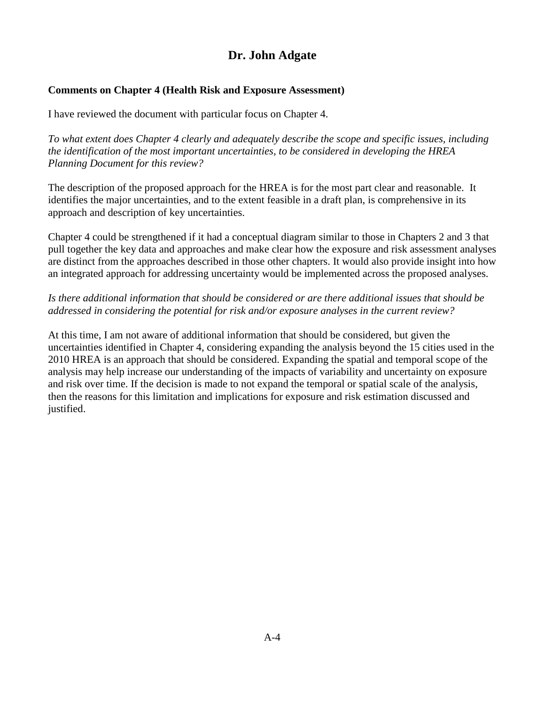## **Dr. John Adgate**

## <span id="page-18-0"></span>**Comments on Chapter 4 (Health Risk and Exposure Assessment)**

I have reviewed the document with particular focus on Chapter 4.

*To what extent does Chapter 4 clearly and adequately describe the scope and specific issues, including the identification of the most important uncertainties, to be considered in developing the HREA Planning Document for this review?*

The description of the proposed approach for the HREA is for the most part clear and reasonable. It identifies the major uncertainties, and to the extent feasible in a draft plan, is comprehensive in its approach and description of key uncertainties.

Chapter 4 could be strengthened if it had a conceptual diagram similar to those in Chapters 2 and 3 that pull together the key data and approaches and make clear how the exposure and risk assessment analyses are distinct from the approaches described in those other chapters. It would also provide insight into how an integrated approach for addressing uncertainty would be implemented across the proposed analyses.

## *Is there additional information that should be considered or are there additional issues that should be addressed in considering the potential for risk and/or exposure analyses in the current review?*

At this time, I am not aware of additional information that should be considered, but given the uncertainties identified in Chapter 4, considering expanding the analysis beyond the 15 cities used in the 2010 HREA is an approach that should be considered. Expanding the spatial and temporal scope of the analysis may help increase our understanding of the impacts of variability and uncertainty on exposure and risk over time. If the decision is made to not expand the temporal or spatial scale of the analysis, then the reasons for this limitation and implications for exposure and risk estimation discussed and justified.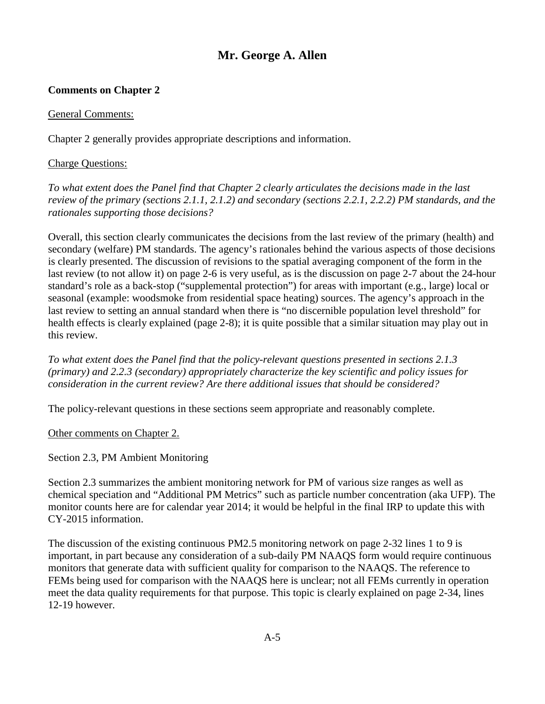## **Mr. George A. Allen**

## <span id="page-19-0"></span>**Comments on Chapter 2**

General Comments:

Chapter 2 generally provides appropriate descriptions and information.

#### Charge Questions:

*To what extent does the Panel find that Chapter 2 clearly articulates the decisions made in the last review of the primary (sections 2.1.1, 2.1.2) and secondary (sections 2.2.1, 2.2.2) PM standards, and the rationales supporting those decisions?*

Overall, this section clearly communicates the decisions from the last review of the primary (health) and secondary (welfare) PM standards. The agency's rationales behind the various aspects of those decisions is clearly presented. The discussion of revisions to the spatial averaging component of the form in the last review (to not allow it) on page 2-6 is very useful, as is the discussion on page 2-7 about the 24-hour standard's role as a back-stop ("supplemental protection") for areas with important (e.g., large) local or seasonal (example: woodsmoke from residential space heating) sources. The agency's approach in the last review to setting an annual standard when there is "no discernible population level threshold" for health effects is clearly explained (page 2-8); it is quite possible that a similar situation may play out in this review.

*To what extent does the Panel find that the policy-relevant questions presented in sections 2.1.3 (primary) and 2.2.3 (secondary) appropriately characterize the key scientific and policy issues for consideration in the current review? Are there additional issues that should be considered?*

The policy-relevant questions in these sections seem appropriate and reasonably complete.

#### Other comments on Chapter 2.

Section 2.3, PM Ambient Monitoring

Section 2.3 summarizes the ambient monitoring network for PM of various size ranges as well as chemical speciation and "Additional PM Metrics" such as particle number concentration (aka UFP). The monitor counts here are for calendar year 2014; it would be helpful in the final IRP to update this with CY-2015 information.

The discussion of the existing continuous PM2.5 monitoring network on page 2-32 lines 1 to 9 is important, in part because any consideration of a sub-daily PM NAAQS form would require continuous monitors that generate data with sufficient quality for comparison to the NAAQS. The reference to FEMs being used for comparison with the NAAQS here is unclear; not all FEMs currently in operation meet the data quality requirements for that purpose. This topic is clearly explained on page 2-34, lines 12-19 however.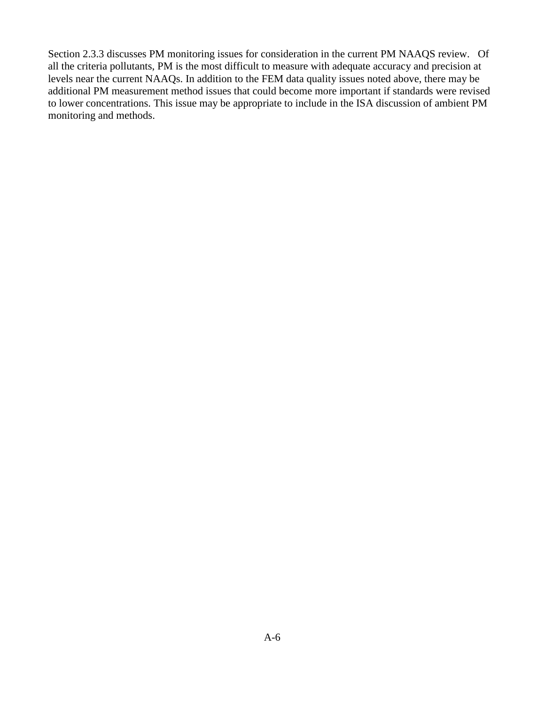Section 2.3.3 discusses PM monitoring issues for consideration in the current PM NAAQS review. Of all the criteria pollutants, PM is the most difficult to measure with adequate accuracy and precision at levels near the current NAAQs. In addition to the FEM data quality issues noted above, there may be additional PM measurement method issues that could become more important if standards were revised to lower concentrations. This issue may be appropriate to include in the ISA discussion of ambient PM monitoring and methods.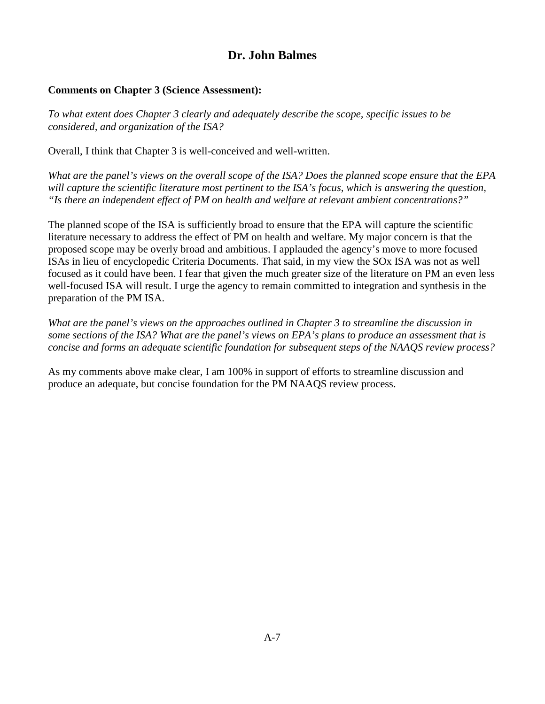## **Dr. John Balmes**

#### <span id="page-21-0"></span>**Comments on Chapter 3 (Science Assessment):**

*To what extent does Chapter 3 clearly and adequately describe the scope, specific issues to be considered, and organization of the ISA?*

Overall, I think that Chapter 3 is well-conceived and well-written.

*What are the panel's views on the overall scope of the ISA? Does the planned scope ensure that the EPA will capture the scientific literature most pertinent to the ISA's focus, which is answering the question, "Is there an independent effect of PM on health and welfare at relevant ambient concentrations?"*

The planned scope of the ISA is sufficiently broad to ensure that the EPA will capture the scientific literature necessary to address the effect of PM on health and welfare. My major concern is that the proposed scope may be overly broad and ambitious. I applauded the agency's move to more focused ISAs in lieu of encyclopedic Criteria Documents. That said, in my view the SOx ISA was not as well focused as it could have been. I fear that given the much greater size of the literature on PM an even less well-focused ISA will result. I urge the agency to remain committed to integration and synthesis in the preparation of the PM ISA.

*What are the panel's views on the approaches outlined in Chapter 3 to streamline the discussion in some sections of the ISA? What are the panel's views on EPA's plans to produce an assessment that is concise and forms an adequate scientific foundation for subsequent steps of the NAAQS review process?*

As my comments above make clear, I am 100% in support of efforts to streamline discussion and produce an adequate, but concise foundation for the PM NAAQS review process.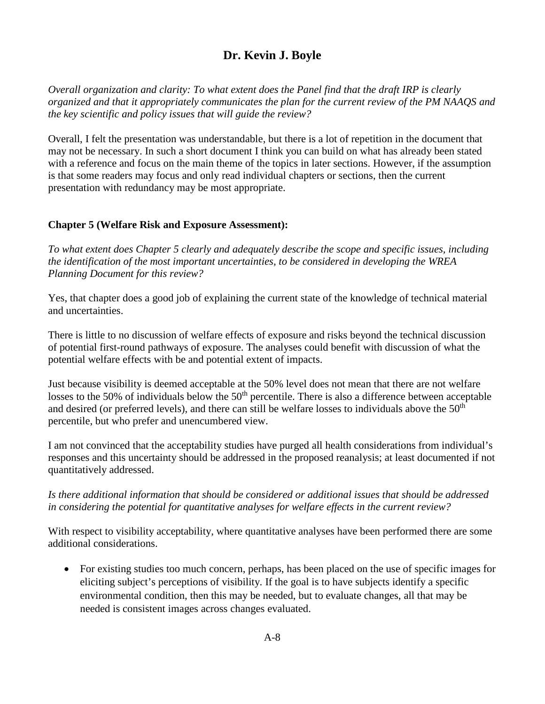# **Dr. Kevin J. Boyle**

<span id="page-22-0"></span>*Overall organization and clarity: To what extent does the Panel find that the draft IRP is clearly organized and that it appropriately communicates the plan for the current review of the PM NAAQS and the key scientific and policy issues that will guide the review?*

Overall, I felt the presentation was understandable, but there is a lot of repetition in the document that may not be necessary. In such a short document I think you can build on what has already been stated with a reference and focus on the main theme of the topics in later sections. However, if the assumption is that some readers may focus and only read individual chapters or sections, then the current presentation with redundancy may be most appropriate.

### **Chapter 5 (Welfare Risk and Exposure Assessment):**

*To what extent does Chapter 5 clearly and adequately describe the scope and specific issues, including the identification of the most important uncertainties, to be considered in developing the WREA Planning Document for this review?*

Yes, that chapter does a good job of explaining the current state of the knowledge of technical material and uncertainties.

There is little to no discussion of welfare effects of exposure and risks beyond the technical discussion of potential first-round pathways of exposure. The analyses could benefit with discussion of what the potential welfare effects with be and potential extent of impacts.

Just because visibility is deemed acceptable at the 50% level does not mean that there are not welfare losses to the 50% of individuals below the  $50<sup>th</sup>$  percentile. There is also a difference between acceptable and desired (or preferred levels), and there can still be welfare losses to individuals above the 50<sup>th</sup> percentile, but who prefer and unencumbered view.

I am not convinced that the acceptability studies have purged all health considerations from individual's responses and this uncertainty should be addressed in the proposed reanalysis; at least documented if not quantitatively addressed.

### *Is there additional information that should be considered or additional issues that should be addressed in considering the potential for quantitative analyses for welfare effects in the current review?*

With respect to visibility acceptability, where quantitative analyses have been performed there are some additional considerations.

• For existing studies too much concern, perhaps, has been placed on the use of specific images for eliciting subject's perceptions of visibility. If the goal is to have subjects identify a specific environmental condition, then this may be needed, but to evaluate changes, all that may be needed is consistent images across changes evaluated.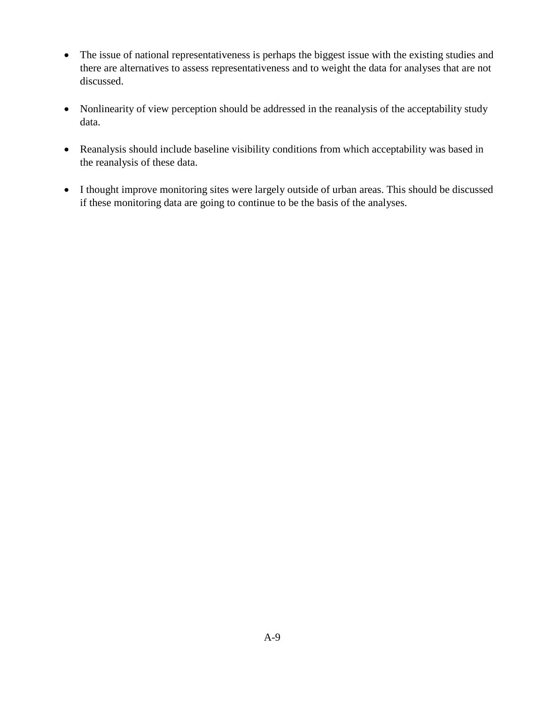- The issue of national representativeness is perhaps the biggest issue with the existing studies and there are alternatives to assess representativeness and to weight the data for analyses that are not discussed.
- Nonlinearity of view perception should be addressed in the reanalysis of the acceptability study data.
- Reanalysis should include baseline visibility conditions from which acceptability was based in the reanalysis of these data.
- I thought improve monitoring sites were largely outside of urban areas. This should be discussed if these monitoring data are going to continue to be the basis of the analyses.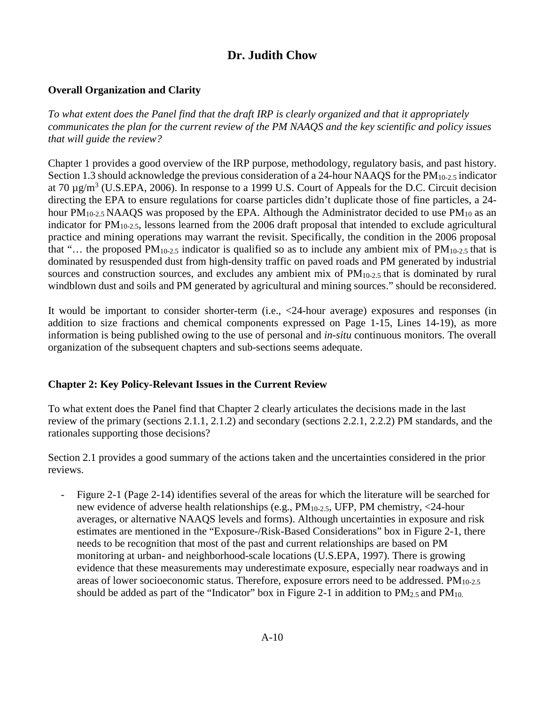## **Dr. Judith Chow**

## <span id="page-24-0"></span>**Overall Organization and Clarity**

*To what extent does the Panel find that the draft IRP is clearly organized and that it appropriately communicates the plan for the current review of the PM NAAQS and the key scientific and policy issues that will guide the review?* 

Chapter 1 provides a good overview of the IRP purpose, methodology, regulatory basis, and past history. Section 1.3 should acknowledge the previous consideration of a 24-hour NAAQS for the PM<sub>10-2.5</sub> indicator at 70  $\mu$ g/m<sup>3</sup> (U.S.EPA, 2006). In response to a 1999 U.S. Court of Appeals for the D.C. Circuit decision directing the EPA to ensure regulations for coarse particles didn't duplicate those of fine particles, a 24 hour  $PM_{10-2.5}$  NAAQS was proposed by the EPA. Although the Administrator decided to use  $PM_{10}$  as an indicator for PM10-2.5, lessons learned from the 2006 draft proposal that intended to exclude agricultural practice and mining operations may warrant the revisit. Specifically, the condition in the 2006 proposal that "… the proposed PM<sub>10-2.5</sub> indicator is qualified so as to include any ambient mix of PM<sub>10-2.5</sub> that is dominated by resuspended dust from high-density traffic on paved roads and PM generated by industrial sources and construction sources, and excludes any ambient mix of  $PM<sub>10-2.5</sub>$  that is dominated by rural windblown dust and soils and PM generated by agricultural and mining sources." should be reconsidered.

It would be important to consider shorter-term (i.e., <24-hour average) exposures and responses (in addition to size fractions and chemical components expressed on Page 1-15, Lines 14-19), as more information is being published owing to the use of personal and *in-situ* continuous monitors. The overall organization of the subsequent chapters and sub-sections seems adequate.

### **Chapter 2: Key Policy-Relevant Issues in the Current Review**

To what extent does the Panel find that Chapter 2 clearly articulates the decisions made in the last review of the primary (sections 2.1.1, 2.1.2) and secondary (sections 2.2.1, 2.2.2) PM standards, and the rationales supporting those decisions?

Section 2.1 provides a good summary of the actions taken and the uncertainties considered in the prior reviews.

- Figure 2-1 (Page 2-14) identifies several of the areas for which the literature will be searched for new evidence of adverse health relationships (e.g., PM10-2.5, UFP, PM chemistry, <24-hour averages, or alternative NAAQS levels and forms). Although uncertainties in exposure and risk estimates are mentioned in the "Exposure-/Risk-Based Considerations" box in Figure 2-1, there needs to be recognition that most of the past and current relationships are based on PM monitoring at urban- and neighborhood-scale locations (U.S.EPA, 1997). There is growing evidence that these measurements may underestimate exposure, especially near roadways and in areas of lower socioeconomic status. Therefore, exposure errors need to be addressed.  $PM<sub>10-2.5</sub>$ should be added as part of the "Indicator" box in Figure 2-1 in addition to  $PM_{2.5}$  and  $PM_{10.5}$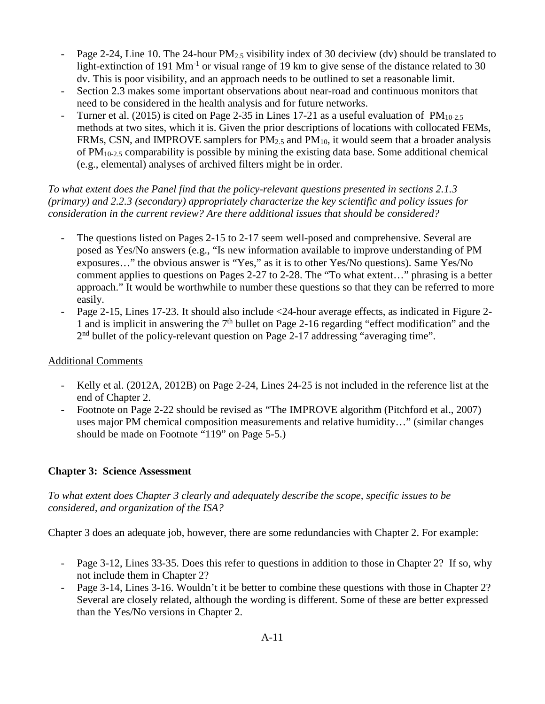- Page 2-24, Line 10. The 24-hour PM<sub>2.5</sub> visibility index of 30 deciview (dv) should be translated to light-extinction of 191  $\text{Mm}^{-1}$  or visual range of 19 km to give sense of the distance related to 30 dv. This is poor visibility, and an approach needs to be outlined to set a reasonable limit.
- Section 2.3 makes some important observations about near-road and continuous monitors that need to be considered in the health analysis and for future networks.
- Turner et al. (2015) is cited on Page 2-35 in Lines 17-21 as a useful evaluation of  $PM_{10-2.5}$ methods at two sites, which it is. Given the prior descriptions of locations with collocated FEMs, FRMs, CSN, and IMPROVE samplers for  $PM_{2.5}$  and  $PM_{10}$ , it would seem that a broader analysis of  $PM_{10-2.5}$  comparability is possible by mining the existing data base. Some additional chemical (e.g., elemental) analyses of archived filters might be in order.

*To what extent does the Panel find that the policy-relevant questions presented in sections 2.1.3 (primary) and 2.2.3 (secondary) appropriately characterize the key scientific and policy issues for consideration in the current review? Are there additional issues that should be considered?* 

- The questions listed on Pages 2-15 to 2-17 seem well-posed and comprehensive. Several are posed as Yes/No answers (e.g., "Is new information available to improve understanding of PM exposures…" the obvious answer is "Yes," as it is to other Yes/No questions). Same Yes/No comment applies to questions on Pages 2-27 to 2-28. The "To what extent…" phrasing is a better approach." It would be worthwhile to number these questions so that they can be referred to more easily.
- Page 2-15, Lines 17-23. It should also include <24-hour average effects, as indicated in Figure 2- 1 and is implicit in answering the  $7<sup>th</sup>$  bullet on Page 2-16 regarding "effect modification" and the 2nd bullet of the policy-relevant question on Page 2-17 addressing "averaging time".

### Additional Comments

- Kelly et al. (2012A, 2012B) on Page 2-24, Lines 24-25 is not included in the reference list at the end of Chapter 2.
- Footnote on Page 2-22 should be revised as "The IMPROVE algorithm (Pitchford et al., 2007) uses major PM chemical composition measurements and relative humidity…" (similar changes should be made on Footnote "119" on Page 5-5.)

## **Chapter 3: Science Assessment**

## *To what extent does Chapter 3 clearly and adequately describe the scope, specific issues to be considered, and organization of the ISA?*

Chapter 3 does an adequate job, however, there are some redundancies with Chapter 2. For example:

- Page 3-12, Lines 33-35. Does this refer to questions in addition to those in Chapter 2? If so, why not include them in Chapter 2?
- Page 3-14, Lines 3-16. Wouldn't it be better to combine these questions with those in Chapter 2? Several are closely related, although the wording is different. Some of these are better expressed than the Yes/No versions in Chapter 2.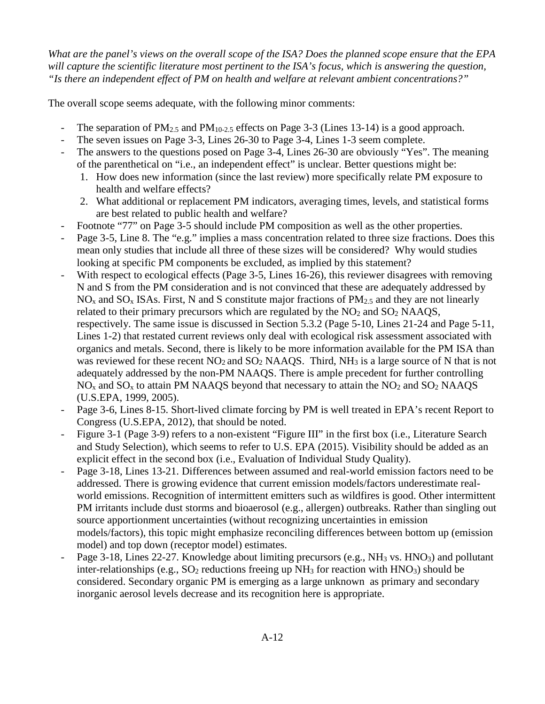*What are the panel's views on the overall scope of the ISA? Does the planned scope ensure that the EPA will capture the scientific literature most pertinent to the ISA's focus, which is answering the question, "Is there an independent effect of PM on health and welfare at relevant ambient concentrations?"* 

The overall scope seems adequate, with the following minor comments:

- The separation of  $PM_{2.5}$  and  $PM_{10-2.5}$  effects on Page 3-3 (Lines 13-14) is a good approach.
- The seven issues on Page 3-3, Lines 26-30 to Page 3-4, Lines 1-3 seem complete.
- The answers to the questions posed on Page 3-4, Lines 26-30 are obviously "Yes". The meaning of the parenthetical on "i.e., an independent effect" is unclear. Better questions might be:
	- 1. How does new information (since the last review) more specifically relate PM exposure to health and welfare effects?
	- 2. What additional or replacement PM indicators, averaging times, levels, and statistical forms are best related to public health and welfare?
- Footnote "77" on Page 3-5 should include PM composition as well as the other properties.
- Page 3-5, Line 8. The "e.g." implies a mass concentration related to three size fractions. Does this mean only studies that include all three of these sizes will be considered? Why would studies looking at specific PM components be excluded, as implied by this statement?
- With respect to ecological effects (Page 3-5, Lines 16-26), this reviewer disagrees with removing N and S from the PM consideration and is not convinced that these are adequately addressed by  $NO<sub>x</sub>$  and  $SO<sub>x</sub>$  ISAs. First, N and S constitute major fractions of PM<sub>2.5</sub> and they are not linearly related to their primary precursors which are regulated by the  $NO<sub>2</sub>$  and  $SO<sub>2</sub>$  NAAQS, respectively. The same issue is discussed in Section 5.3.2 (Page 5-10, Lines 21-24 and Page 5-11, Lines 1-2) that restated current reviews only deal with ecological risk assessment associated with organics and metals. Second, there is likely to be more information available for the PM ISA than was reviewed for these recent NO<sub>2</sub> and SO<sub>2</sub> NAAQS. Third, NH<sub>3</sub> is a large source of N that is not adequately addressed by the non-PM NAAQS. There is ample precedent for further controlling  $NO<sub>x</sub>$  and  $SO<sub>x</sub>$  to attain PM NAAQS beyond that necessary to attain the  $NO<sub>2</sub>$  and  $SO<sub>2</sub>$  NAAQS (U.S.EPA, 1999, 2005).
- Page 3-6, Lines 8-15. Short-lived climate forcing by PM is well treated in EPA's recent Report to Congress (U.S.EPA, 2012), that should be noted.
- Figure 3-1 (Page 3-9) refers to a non-existent "Figure III" in the first box (i.e., Literature Search and Study Selection), which seems to refer to U.S. EPA (2015). Visibility should be added as an explicit effect in the second box (i.e., Evaluation of Individual Study Quality).
- Page 3-18, Lines 13-21. Differences between assumed and real-world emission factors need to be addressed. There is growing evidence that current emission models/factors underestimate realworld emissions. Recognition of intermittent emitters such as wildfires is good. Other intermittent PM irritants include dust storms and bioaerosol (e.g., allergen) outbreaks. Rather than singling out source apportionment uncertainties (without recognizing uncertainties in emission models/factors), this topic might emphasize reconciling differences between bottom up (emission model) and top down (receptor model) estimates.
- Page 3-18, Lines 22-27. Knowledge about limiting precursors (e.g., NH<sub>3</sub> vs. HNO<sub>3</sub>) and pollutant inter-relationships (e.g.,  $SO_2$  reductions freeing up  $NH_3$  for reaction with  $HNO_3$ ) should be considered. Secondary organic PM is emerging as a large unknown as primary and secondary inorganic aerosol levels decrease and its recognition here is appropriate.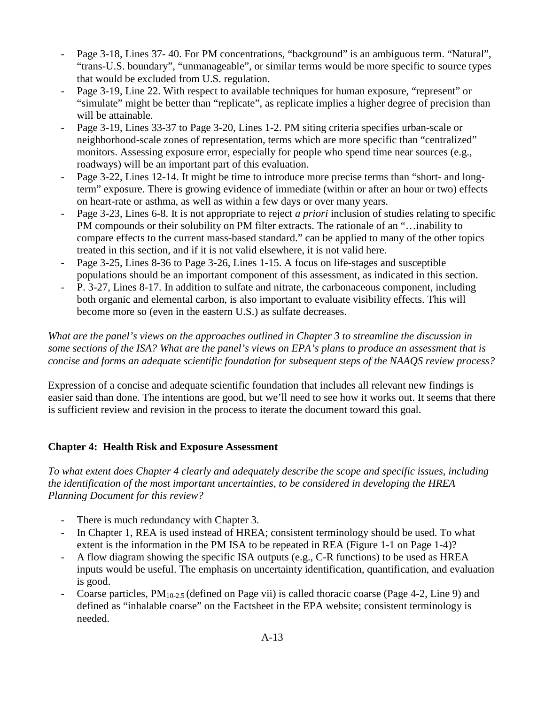- Page 3-18, Lines 37-40. For PM concentrations, "background" is an ambiguous term. "Natural", "trans-U.S. boundary", "unmanageable", or similar terms would be more specific to source types that would be excluded from U.S. regulation.
- Page 3-19, Line 22. With respect to available techniques for human exposure, "represent" or "simulate" might be better than "replicate", as replicate implies a higher degree of precision than will be attainable.
- Page 3-19, Lines 33-37 to Page 3-20, Lines 1-2. PM siting criteria specifies urban-scale or neighborhood-scale zones of representation, terms which are more specific than "centralized" monitors. Assessing exposure error, especially for people who spend time near sources (e.g., roadways) will be an important part of this evaluation.
- Page 3-22, Lines 12-14. It might be time to introduce more precise terms than "short- and longterm" exposure. There is growing evidence of immediate (within or after an hour or two) effects on heart-rate or asthma, as well as within a few days or over many years.
- Page 3-23, Lines 6-8. It is not appropriate to reject *a priori* inclusion of studies relating to specific PM compounds or their solubility on PM filter extracts. The rationale of an "…inability to compare effects to the current mass-based standard." can be applied to many of the other topics treated in this section, and if it is not valid elsewhere, it is not valid here.
- Page 3-25, Lines 8-36 to Page 3-26, Lines 1-15. A focus on life-stages and susceptible populations should be an important component of this assessment, as indicated in this section.
- P. 3-27, Lines 8-17. In addition to sulfate and nitrate, the carbonaceous component, including both organic and elemental carbon, is also important to evaluate visibility effects. This will become more so (even in the eastern U.S.) as sulfate decreases.

*What are the panel's views on the approaches outlined in Chapter 3 to streamline the discussion in some sections of the ISA? What are the panel's views on EPA's plans to produce an assessment that is concise and forms an adequate scientific foundation for subsequent steps of the NAAQS review process?* 

Expression of a concise and adequate scientific foundation that includes all relevant new findings is easier said than done. The intentions are good, but we'll need to see how it works out. It seems that there is sufficient review and revision in the process to iterate the document toward this goal.

## **Chapter 4: Health Risk and Exposure Assessment**

*To what extent does Chapter 4 clearly and adequately describe the scope and specific issues, including the identification of the most important uncertainties, to be considered in developing the HREA Planning Document for this review?* 

- There is much redundancy with Chapter 3.
- In Chapter 1, REA is used instead of HREA; consistent terminology should be used. To what extent is the information in the PM ISA to be repeated in REA (Figure 1-1 on Page 1-4)?
- A flow diagram showing the specific ISA outputs (e.g., C-R functions) to be used as HREA inputs would be useful. The emphasis on uncertainty identification, quantification, and evaluation is good.
- Coarse particles,  $PM_{10-2.5}$  (defined on Page vii) is called thoracic coarse (Page 4-2, Line 9) and defined as "inhalable coarse" on the Factsheet in the EPA website; consistent terminology is needed.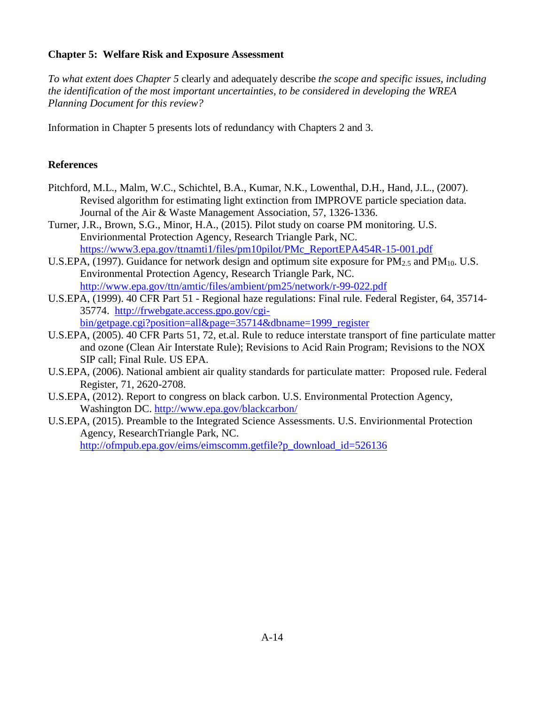### **Chapter 5: Welfare Risk and Exposure Assessment**

*To what extent does Chapter 5* clearly and adequately describe *the scope and specific issues, including the identification of the most important uncertainties, to be considered in developing the WREA Planning Document for this review?*

Information in Chapter 5 presents lots of redundancy with Chapters 2 and 3.

#### **References**

- Pitchford, M.L., Malm, W.C., Schichtel, B.A., Kumar, N.K., Lowenthal, D.H., Hand, J.L., (2007). Revised algorithm for estimating light extinction from IMPROVE particle speciation data. Journal of the Air & Waste Management Association, 57, 1326-1336.
- Turner, J.R., Brown, S.G., Minor, H.A., (2015). Pilot study on coarse PM monitoring. U.S. Envirionmental Protection Agency, Research Triangle Park, NC. [https://www3.epa.gov/ttnamti1/files/pm10pilot/PMc\\_ReportEPA454R-15-001.pdf](https://www3.epa.gov/ttnamti1/files/pm10pilot/PMc_ReportEPA454R-15-001.pdf)
- U.S.EPA, (1997). Guidance for network design and optimum site exposure for  $PM_{2.5}$  and  $PM_{10}$ . U.S. Environmental Protection Agency, Research Triangle Park, NC. <http://www.epa.gov/ttn/amtic/files/ambient/pm25/network/r-99-022.pdf>
- U.S.EPA, (1999). 40 CFR Part 51 Regional haze regulations: Final rule. Federal Register, 64, 35714- 35774. [http://frwebgate.access.gpo.gov/cgi](http://frwebgate.access.gpo.gov/cgi-bin/getpage.cgi?position=all&page=35714&dbname=1999_register)[bin/getpage.cgi?position=all&page=35714&dbname=1999\\_register](http://frwebgate.access.gpo.gov/cgi-bin/getpage.cgi?position=all&page=35714&dbname=1999_register)
- U.S.EPA, (2005). 40 CFR Parts 51, 72, et.al. Rule to reduce interstate transport of fine particulate matter and ozone (Clean Air Interstate Rule); Revisions to Acid Rain Program; Revisions to the NOX SIP call; Final Rule. US EPA.
- U.S.EPA, (2006). National ambient air quality standards for particulate matter: Proposed rule. Federal Register, 71, 2620-2708.
- U.S.EPA, (2012). Report to congress on black carbon. U.S. Environmental Protection Agency, Washington DC.<http://www.epa.gov/blackcarbon/>
- U.S.EPA, (2015). Preamble to the Integrated Science Assessments. U.S. Envirionmental Protection Agency, ResearchTriangle Park, NC. [http://ofmpub.epa.gov/eims/eimscomm.getfile?p\\_download\\_id=526136](http://ofmpub.epa.gov/eims/eimscomm.getfile?p_download_id=526136)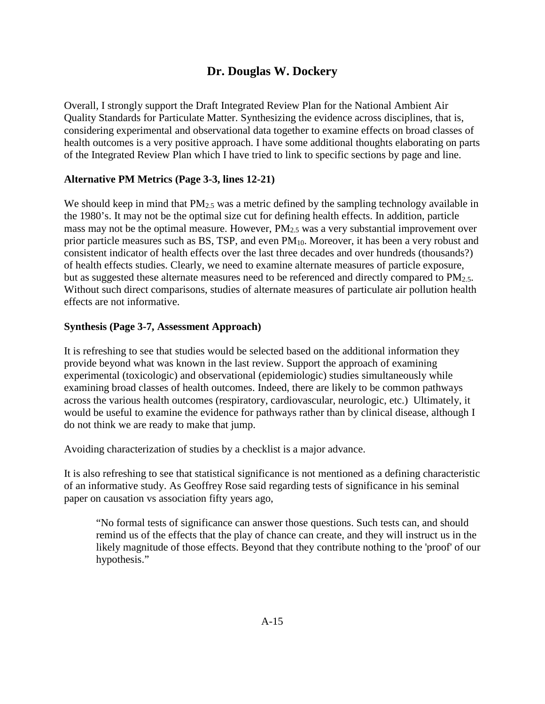## **Dr. Douglas W. Dockery**

<span id="page-29-0"></span>Overall, I strongly support the Draft Integrated Review Plan for the National Ambient Air Quality Standards for Particulate Matter. Synthesizing the evidence across disciplines, that is, considering experimental and observational data together to examine effects on broad classes of health outcomes is a very positive approach. I have some additional thoughts elaborating on parts of the Integrated Review Plan which I have tried to link to specific sections by page and line.

#### **Alternative PM Metrics (Page 3-3, lines 12-21)**

We should keep in mind that  $PM_{2.5}$  was a metric defined by the sampling technology available in the 1980's. It may not be the optimal size cut for defining health effects. In addition, particle mass may not be the optimal measure. However, PM2.5 was a very substantial improvement over prior particle measures such as BS, TSP, and even PM<sub>10</sub>. Moreover, it has been a very robust and consistent indicator of health effects over the last three decades and over hundreds (thousands?) of health effects studies. Clearly, we need to examine alternate measures of particle exposure, but as suggested these alternate measures need to be referenced and directly compared to PM<sub>2.5</sub>. Without such direct comparisons, studies of alternate measures of particulate air pollution health effects are not informative.

#### **Synthesis (Page 3-7, Assessment Approach)**

It is refreshing to see that studies would be selected based on the additional information they provide beyond what was known in the last review. Support the approach of examining experimental (toxicologic) and observational (epidemiologic) studies simultaneously while examining broad classes of health outcomes. Indeed, there are likely to be common pathways across the various health outcomes (respiratory, cardiovascular, neurologic, etc.) Ultimately, it would be useful to examine the evidence for pathways rather than by clinical disease, although I do not think we are ready to make that jump.

Avoiding characterization of studies by a checklist is a major advance.

It is also refreshing to see that statistical significance is not mentioned as a defining characteristic of an informative study. As Geoffrey Rose said regarding tests of significance in his seminal paper on causation vs association fifty years ago,

"No formal tests of significance can answer those questions. Such tests can, and should remind us of the effects that the play of chance can create, and they will instruct us in the likely magnitude of those effects. Beyond that they contribute nothing to the 'proof' of our hypothesis."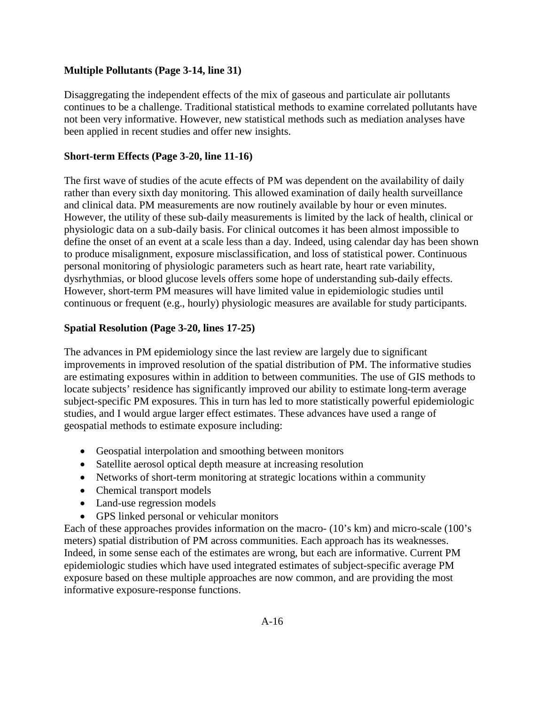#### **Multiple Pollutants (Page 3-14, line 31)**

Disaggregating the independent effects of the mix of gaseous and particulate air pollutants continues to be a challenge. Traditional statistical methods to examine correlated pollutants have not been very informative. However, new statistical methods such as mediation analyses have been applied in recent studies and offer new insights.

#### **Short-term Effects (Page 3-20, line 11-16)**

The first wave of studies of the acute effects of PM was dependent on the availability of daily rather than every sixth day monitoring. This allowed examination of daily health surveillance and clinical data. PM measurements are now routinely available by hour or even minutes. However, the utility of these sub-daily measurements is limited by the lack of health, clinical or physiologic data on a sub-daily basis. For clinical outcomes it has been almost impossible to define the onset of an event at a scale less than a day. Indeed, using calendar day has been shown to produce misalignment, exposure misclassification, and loss of statistical power. Continuous personal monitoring of physiologic parameters such as heart rate, heart rate variability, dysrhythmias, or blood glucose levels offers some hope of understanding sub-daily effects. However, short-term PM measures will have limited value in epidemiologic studies until continuous or frequent (e.g., hourly) physiologic measures are available for study participants.

#### **Spatial Resolution (Page 3-20, lines 17-25)**

The advances in PM epidemiology since the last review are largely due to significant improvements in improved resolution of the spatial distribution of PM. The informative studies are estimating exposures within in addition to between communities. The use of GIS methods to locate subjects' residence has significantly improved our ability to estimate long-term average subject-specific PM exposures. This in turn has led to more statistically powerful epidemiologic studies, and I would argue larger effect estimates. These advances have used a range of geospatial methods to estimate exposure including:

- Geospatial interpolation and smoothing between monitors
- Satellite aerosol optical depth measure at increasing resolution
- Networks of short-term monitoring at strategic locations within a community
- Chemical transport models
- Land-use regression models
- GPS linked personal or vehicular monitors

Each of these approaches provides information on the macro- (10's km) and micro-scale (100's meters) spatial distribution of PM across communities. Each approach has its weaknesses. Indeed, in some sense each of the estimates are wrong, but each are informative. Current PM epidemiologic studies which have used integrated estimates of subject-specific average PM exposure based on these multiple approaches are now common, and are providing the most informative exposure-response functions.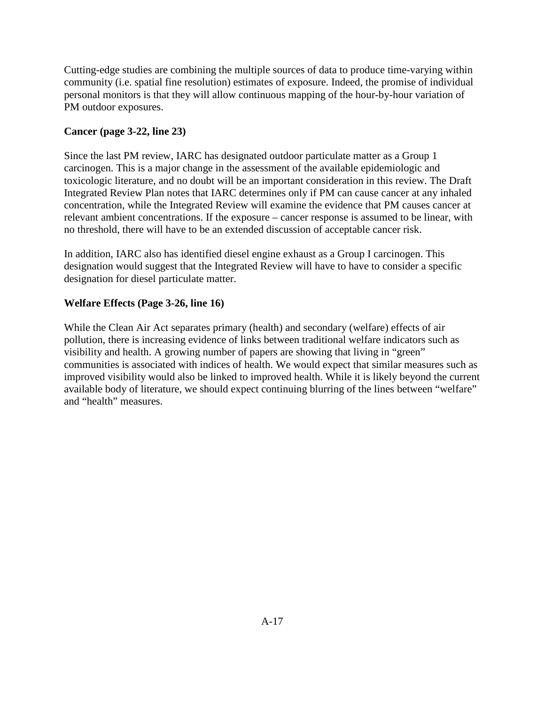Cutting-edge studies are combining the multiple sources of data to produce time-varying within community (i.e. spatial fine resolution) estimates of exposure. Indeed, the promise of individual personal monitors is that they will allow continuous mapping of the hour-by-hour variation of PM outdoor exposures.

## **Cancer (page 3-22, line 23)**

Since the last PM review, IARC has designated outdoor particulate matter as a Group 1 carcinogen. This is a major change in the assessment of the available epidemiologic and toxicologic literature, and no doubt will be an important consideration in this review. The Draft Integrated Review Plan notes that IARC determines only if PM can cause cancer at any inhaled concentration, while the Integrated Review will examine the evidence that PM causes cancer at relevant ambient concentrations. If the exposure – cancer response is assumed to be linear, with no threshold, there will have to be an extended discussion of acceptable cancer risk.

In addition, IARC also has identified diesel engine exhaust as a Group I carcinogen. This designation would suggest that the Integrated Review will have to have to consider a specific designation for diesel particulate matter.

## **Welfare Effects (Page 3-26, line 16)**

While the Clean Air Act separates primary (health) and secondary (welfare) effects of air pollution, there is increasing evidence of links between traditional welfare indicators such as visibility and health. A growing number of papers are showing that living in "green" communities is associated with indices of health. We would expect that similar measures such as improved visibility would also be linked to improved health. While it is likely beyond the current available body of literature, we should expect continuing blurring of the lines between "welfare" and "health" measures.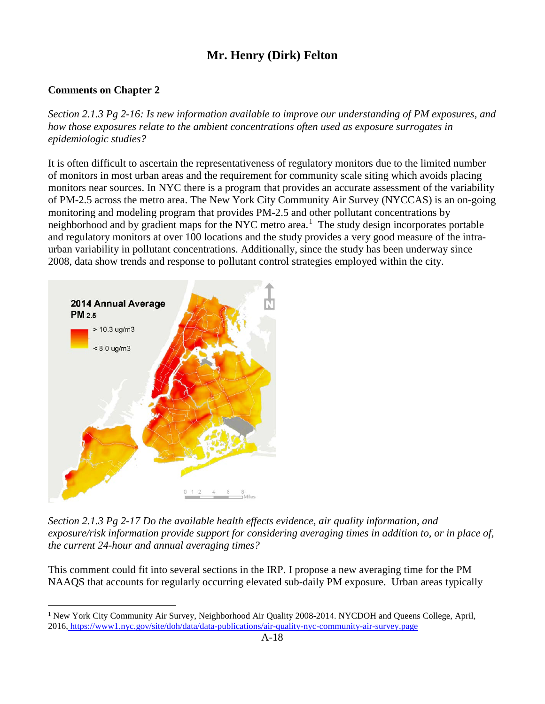# **Mr. Henry (Dirk) Felton**

## <span id="page-32-0"></span>**Comments on Chapter 2**

*Section 2.1.3 Pg 2-16: Is new information available to improve our understanding of PM exposures, and how those exposures relate to the ambient concentrations often used as exposure surrogates in epidemiologic studies?*

It is often difficult to ascertain the representativeness of regulatory monitors due to the limited number of monitors in most urban areas and the requirement for community scale siting which avoids placing monitors near sources. In NYC there is a program that provides an accurate assessment of the variability of PM-2.5 across the metro area. The New York City Community Air Survey (NYCCAS) is an on-going monitoring and modeling program that provides PM-2.5 and other pollutant concentrations by neighborhood and by gradient maps for the NYC metro area.<sup>[1](#page-32-1)</sup> The study design incorporates portable and regulatory monitors at over 100 locations and the study provides a very good measure of the intraurban variability in pollutant concentrations. Additionally, since the study has been underway since 2008, data show trends and response to pollutant control strategies employed within the city.



*Section 2.1.3 Pg 2-17 Do the available health effects evidence, air quality information, and exposure/risk information provide support for considering averaging times in addition to, or in place of, the current 24-hour and annual averaging times?*

This comment could fit into several sections in the IRP. I propose a new averaging time for the PM NAAQS that accounts for regularly occurring elevated sub-daily PM exposure. Urban areas typically

<span id="page-32-1"></span><sup>&</sup>lt;sup>1</sup> New York City Community Air Survey, Neighborhood Air Quality 2008-2014. NYCDOH and Queens College, April, 2016, <https://www1.nyc.gov/site/doh/data/data-publications/air-quality-nyc-community-air-survey.page>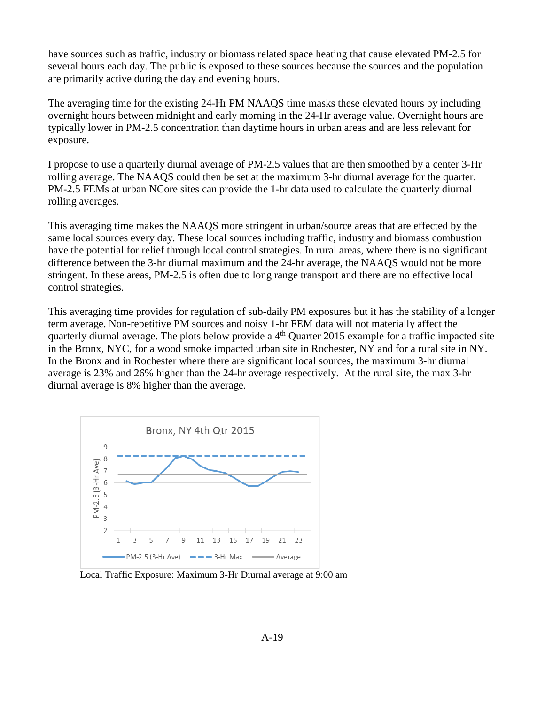have sources such as traffic, industry or biomass related space heating that cause elevated PM-2.5 for several hours each day. The public is exposed to these sources because the sources and the population are primarily active during the day and evening hours.

The averaging time for the existing 24-Hr PM NAAQS time masks these elevated hours by including overnight hours between midnight and early morning in the 24-Hr average value. Overnight hours are typically lower in PM-2.5 concentration than daytime hours in urban areas and are less relevant for exposure.

I propose to use a quarterly diurnal average of PM-2.5 values that are then smoothed by a center 3-Hr rolling average. The NAAQS could then be set at the maximum 3-hr diurnal average for the quarter. PM-2.5 FEMs at urban NCore sites can provide the 1-hr data used to calculate the quarterly diurnal rolling averages.

This averaging time makes the NAAQS more stringent in urban/source areas that are effected by the same local sources every day. These local sources including traffic, industry and biomass combustion have the potential for relief through local control strategies. In rural areas, where there is no significant difference between the 3-hr diurnal maximum and the 24-hr average, the NAAQS would not be more stringent. In these areas, PM-2.5 is often due to long range transport and there are no effective local control strategies.

This averaging time provides for regulation of sub-daily PM exposures but it has the stability of a longer term average. Non-repetitive PM sources and noisy 1-hr FEM data will not materially affect the quarterly diurnal average. The plots below provide a  $4<sup>th</sup>$  Quarter 2015 example for a traffic impacted site in the Bronx, NYC, for a wood smoke impacted urban site in Rochester, NY and for a rural site in NY. In the Bronx and in Rochester where there are significant local sources, the maximum 3-hr diurnal average is 23% and 26% higher than the 24-hr average respectively. At the rural site, the max 3-hr diurnal average is 8% higher than the average.



Local Traffic Exposure: Maximum 3-Hr Diurnal average at 9:00 am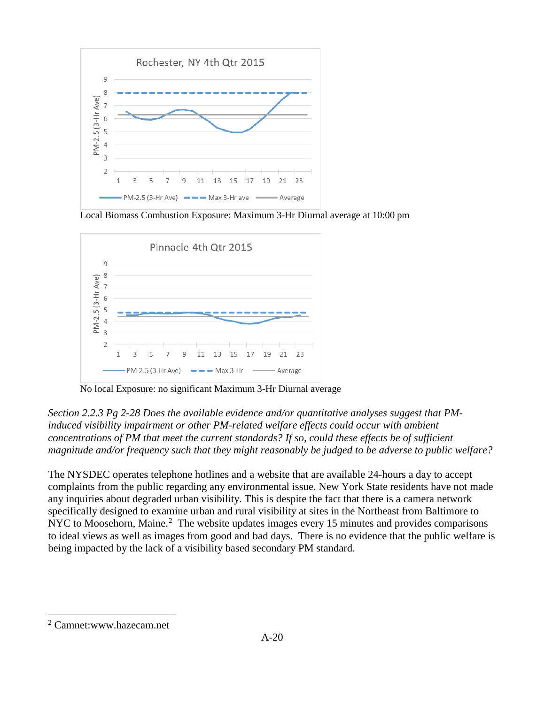

Local Biomass Combustion Exposure: Maximum 3-Hr Diurnal average at 10:00 pm



No local Exposure: no significant Maximum 3-Hr Diurnal average

*Section 2.2.3 Pg 2-28 Does the available evidence and/or quantitative analyses suggest that PMinduced visibility impairment or other PM-related welfare effects could occur with ambient concentrations of PM that meet the current standards? If so, could these effects be of sufficient magnitude and/or frequency such that they might reasonably be judged to be adverse to public welfare?* 

The NYSDEC operates telephone hotlines and a website that are available 24-hours a day to accept complaints from the public regarding any environmental issue. New York State residents have not made any inquiries about degraded urban visibility. This is despite the fact that there is a camera network specifically designed to examine urban and rural visibility at sites in the Northeast from Baltimore to NYC to Moosehorn, Maine. $2$  The website updates images every 15 minutes and provides comparisons to ideal views as well as images from good and bad days. There is no evidence that the public welfare is being impacted by the lack of a visibility based secondary PM standard.

<span id="page-34-0"></span> <sup>2</sup> Camnet:www.hazecam.net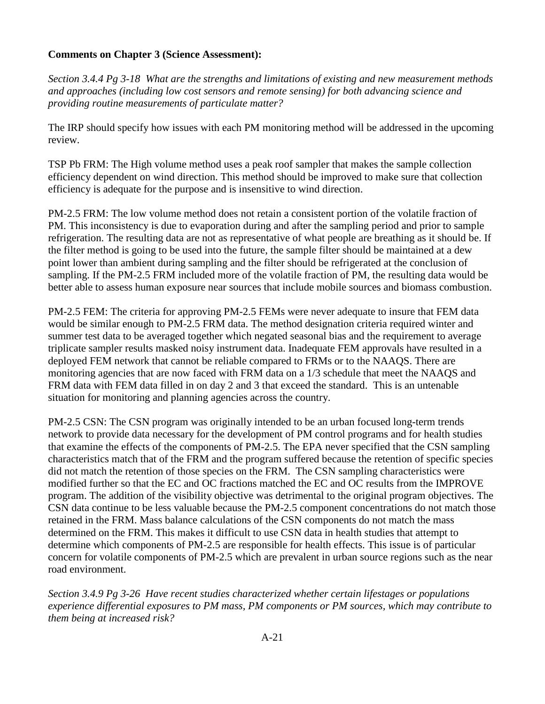### **Comments on Chapter 3 (Science Assessment):**

*Section 3.4.4 Pg 3-18 What are the strengths and limitations of existing and new measurement methods and approaches (including low cost sensors and remote sensing) for both advancing science and providing routine measurements of particulate matter?*

The IRP should specify how issues with each PM monitoring method will be addressed in the upcoming review.

TSP Pb FRM: The High volume method uses a peak roof sampler that makes the sample collection efficiency dependent on wind direction. This method should be improved to make sure that collection efficiency is adequate for the purpose and is insensitive to wind direction.

PM-2.5 FRM: The low volume method does not retain a consistent portion of the volatile fraction of PM. This inconsistency is due to evaporation during and after the sampling period and prior to sample refrigeration. The resulting data are not as representative of what people are breathing as it should be. If the filter method is going to be used into the future, the sample filter should be maintained at a dew point lower than ambient during sampling and the filter should be refrigerated at the conclusion of sampling. If the PM-2.5 FRM included more of the volatile fraction of PM, the resulting data would be better able to assess human exposure near sources that include mobile sources and biomass combustion.

PM-2.5 FEM: The criteria for approving PM-2.5 FEMs were never adequate to insure that FEM data would be similar enough to PM-2.5 FRM data. The method designation criteria required winter and summer test data to be averaged together which negated seasonal bias and the requirement to average triplicate sampler results masked noisy instrument data. Inadequate FEM approvals have resulted in a deployed FEM network that cannot be reliable compared to FRMs or to the NAAQS. There are monitoring agencies that are now faced with FRM data on a 1/3 schedule that meet the NAAQS and FRM data with FEM data filled in on day 2 and 3 that exceed the standard. This is an untenable situation for monitoring and planning agencies across the country.

PM-2.5 CSN: The CSN program was originally intended to be an urban focused long-term trends network to provide data necessary for the development of PM control programs and for health studies that examine the effects of the components of PM-2.5. The EPA never specified that the CSN sampling characteristics match that of the FRM and the program suffered because the retention of specific species did not match the retention of those species on the FRM. The CSN sampling characteristics were modified further so that the EC and OC fractions matched the EC and OC results from the IMPROVE program. The addition of the visibility objective was detrimental to the original program objectives. The CSN data continue to be less valuable because the PM-2.5 component concentrations do not match those retained in the FRM. Mass balance calculations of the CSN components do not match the mass determined on the FRM. This makes it difficult to use CSN data in health studies that attempt to determine which components of PM-2.5 are responsible for health effects. This issue is of particular concern for volatile components of PM-2.5 which are prevalent in urban source regions such as the near road environment.

*Section 3.4.9 Pg 3-26 Have recent studies characterized whether certain lifestages or populations experience differential exposures to PM mass, PM components or PM sources, which may contribute to them being at increased risk?*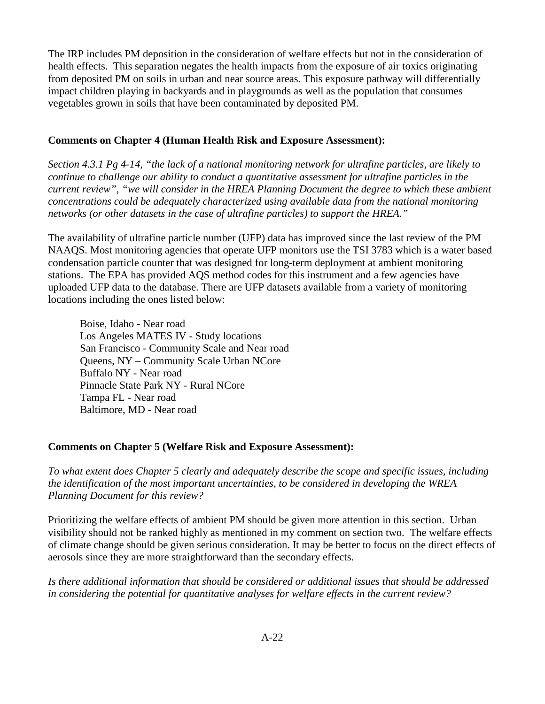The IRP includes PM deposition in the consideration of welfare effects but not in the consideration of health effects. This separation negates the health impacts from the exposure of air toxics originating from deposited PM on soils in urban and near source areas. This exposure pathway will differentially impact children playing in backyards and in playgrounds as well as the population that consumes vegetables grown in soils that have been contaminated by deposited PM.

### **Comments on Chapter 4 (Human Health Risk and Exposure Assessment):**

*Section 4.3.1 Pg 4-14, "the lack of a national monitoring network for ultrafine particles, are likely to continue to challenge our ability to conduct a quantitative assessment for ultrafine particles in the current review", "we will consider in the HREA Planning Document the degree to which these ambient concentrations could be adequately characterized using available data from the national monitoring networks (or other datasets in the case of ultrafine particles) to support the HREA."*

The availability of ultrafine particle number (UFP) data has improved since the last review of the PM NAAQS. Most monitoring agencies that operate UFP monitors use the TSI 3783 which is a water based condensation particle counter that was designed for long-term deployment at ambient monitoring stations. The EPA has provided AQS method codes for this instrument and a few agencies have uploaded UFP data to the database. There are UFP datasets available from a variety of monitoring locations including the ones listed below:

Boise, Idaho - Near road Los Angeles MATES IV - Study locations San Francisco - Community Scale and Near road Queens, NY – Community Scale Urban NCore Buffalo NY - Near road Pinnacle State Park NY - Rural NCore Tampa FL - Near road Baltimore, MD - Near road

### **Comments on Chapter 5 (Welfare Risk and Exposure Assessment):**

*To what extent does Chapter 5 clearly and adequately describe the scope and specific issues, including the identification of the most important uncertainties, to be considered in developing the WREA Planning Document for this review?*

Prioritizing the welfare effects of ambient PM should be given more attention in this section. Urban visibility should not be ranked highly as mentioned in my comment on section two. The welfare effects of climate change should be given serious consideration. It may be better to focus on the direct effects of aerosols since they are more straightforward than the secondary effects.

*Is there additional information that should be considered or additional issues that should be addressed in considering the potential for quantitative analyses for welfare effects in the current review?*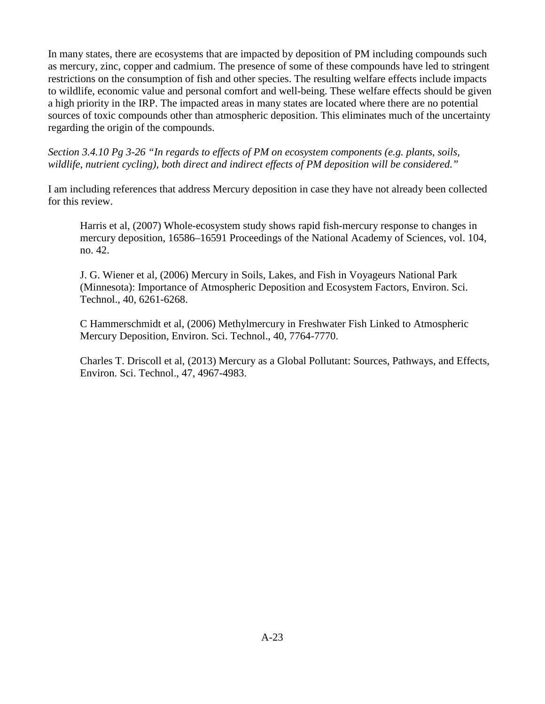In many states, there are ecosystems that are impacted by deposition of PM including compounds such as mercury, zinc, copper and cadmium. The presence of some of these compounds have led to stringent restrictions on the consumption of fish and other species. The resulting welfare effects include impacts to wildlife, economic value and personal comfort and well-being. These welfare effects should be given a high priority in the IRP. The impacted areas in many states are located where there are no potential sources of toxic compounds other than atmospheric deposition. This eliminates much of the uncertainty regarding the origin of the compounds.

*Section 3.4.10 Pg 3-26 "In regards to effects of PM on ecosystem components (e.g. plants, soils, wildlife, nutrient cycling), both direct and indirect effects of PM deposition will be considered."*

I am including references that address Mercury deposition in case they have not already been collected for this review.

Harris et al, (2007) Whole-ecosystem study shows rapid fish-mercury response to changes in mercury deposition, 16586–16591 Proceedings of the National Academy of Sciences, vol. 104, no. 42.

J. G. Wiener et al, (2006) Mercury in Soils, Lakes, and Fish in Voyageurs National Park (Minnesota): Importance of Atmospheric Deposition and Ecosystem Factors, Environ. Sci. Technol., 40, 6261-6268.

C Hammerschmidt et al, (2006) Methylmercury in Freshwater Fish Linked to Atmospheric Mercury Deposition, Environ. Sci. Technol., 40, 7764-7770.

Charles T. Driscoll et al, (2013) Mercury as a Global Pollutant: Sources, Pathways, and Effects, Environ. Sci. Technol., 47, 4967-4983.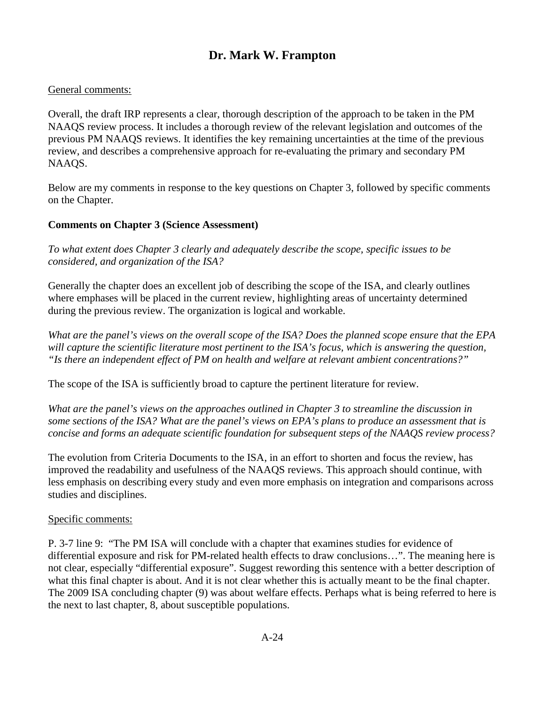# **Dr. Mark W. Frampton**

#### <span id="page-38-0"></span>General comments:

Overall, the draft IRP represents a clear, thorough description of the approach to be taken in the PM NAAQS review process. It includes a thorough review of the relevant legislation and outcomes of the previous PM NAAQS reviews. It identifies the key remaining uncertainties at the time of the previous review, and describes a comprehensive approach for re-evaluating the primary and secondary PM NAAQS.

Below are my comments in response to the key questions on Chapter 3, followed by specific comments on the Chapter.

#### **Comments on Chapter 3 (Science Assessment)**

*To what extent does Chapter 3 clearly and adequately describe the scope, specific issues to be considered, and organization of the ISA?* 

Generally the chapter does an excellent job of describing the scope of the ISA, and clearly outlines where emphases will be placed in the current review, highlighting areas of uncertainty determined during the previous review. The organization is logical and workable.

*What are the panel's views on the overall scope of the ISA? Does the planned scope ensure that the EPA will capture the scientific literature most pertinent to the ISA's focus, which is answering the question, "Is there an independent effect of PM on health and welfare at relevant ambient concentrations?"* 

The scope of the ISA is sufficiently broad to capture the pertinent literature for review.

*What are the panel's views on the approaches outlined in Chapter 3 to streamline the discussion in some sections of the ISA? What are the panel's views on EPA's plans to produce an assessment that is concise and forms an adequate scientific foundation for subsequent steps of the NAAQS review process?* 

The evolution from Criteria Documents to the ISA, in an effort to shorten and focus the review, has improved the readability and usefulness of the NAAQS reviews. This approach should continue, with less emphasis on describing every study and even more emphasis on integration and comparisons across studies and disciplines.

#### Specific comments:

P. 3-7 line 9: "The PM ISA will conclude with a chapter that examines studies for evidence of differential exposure and risk for PM-related health effects to draw conclusions…". The meaning here is not clear, especially "differential exposure". Suggest rewording this sentence with a better description of what this final chapter is about. And it is not clear whether this is actually meant to be the final chapter. The 2009 ISA concluding chapter (9) was about welfare effects. Perhaps what is being referred to here is the next to last chapter, 8, about susceptible populations.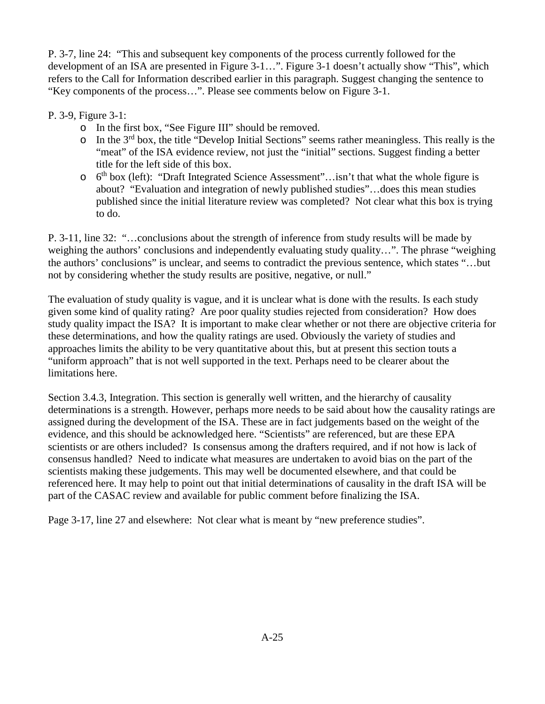P. 3-7, line 24: "This and subsequent key components of the process currently followed for the development of an ISA are presented in Figure 3-1…". Figure 3-1 doesn't actually show "This", which refers to the Call for Information described earlier in this paragraph. Suggest changing the sentence to "Key components of the process…". Please see comments below on Figure 3-1.

## P. 3-9, Figure 3-1:

- o In the first box, "See Figure III" should be removed.
- o In the 3rd box, the title "Develop Initial Sections" seems rather meaningless. This really is the "meat" of the ISA evidence review, not just the "initial" sections. Suggest finding a better title for the left side of this box.
- $\circ$  6<sup>th</sup> box (left): "Draft Integrated Science Assessment"... isn't that what the whole figure is about? "Evaluation and integration of newly published studies"…does this mean studies published since the initial literature review was completed? Not clear what this box is trying to do.

P. 3-11, line 32: "…conclusions about the strength of inference from study results will be made by weighing the authors' conclusions and independently evaluating study quality…". The phrase "weighing the authors' conclusions" is unclear, and seems to contradict the previous sentence, which states "…but not by considering whether the study results are positive, negative, or null."

The evaluation of study quality is vague, and it is unclear what is done with the results. Is each study given some kind of quality rating? Are poor quality studies rejected from consideration? How does study quality impact the ISA? It is important to make clear whether or not there are objective criteria for these determinations, and how the quality ratings are used. Obviously the variety of studies and approaches limits the ability to be very quantitative about this, but at present this section touts a "uniform approach" that is not well supported in the text. Perhaps need to be clearer about the limitations here.

Section 3.4.3, Integration. This section is generally well written, and the hierarchy of causality determinations is a strength. However, perhaps more needs to be said about how the causality ratings are assigned during the development of the ISA. These are in fact judgements based on the weight of the evidence, and this should be acknowledged here. "Scientists" are referenced, but are these EPA scientists or are others included? Is consensus among the drafters required, and if not how is lack of consensus handled? Need to indicate what measures are undertaken to avoid bias on the part of the scientists making these judgements. This may well be documented elsewhere, and that could be referenced here. It may help to point out that initial determinations of causality in the draft ISA will be part of the CASAC review and available for public comment before finalizing the ISA.

Page 3-17, line 27 and elsewhere: Not clear what is meant by "new preference studies".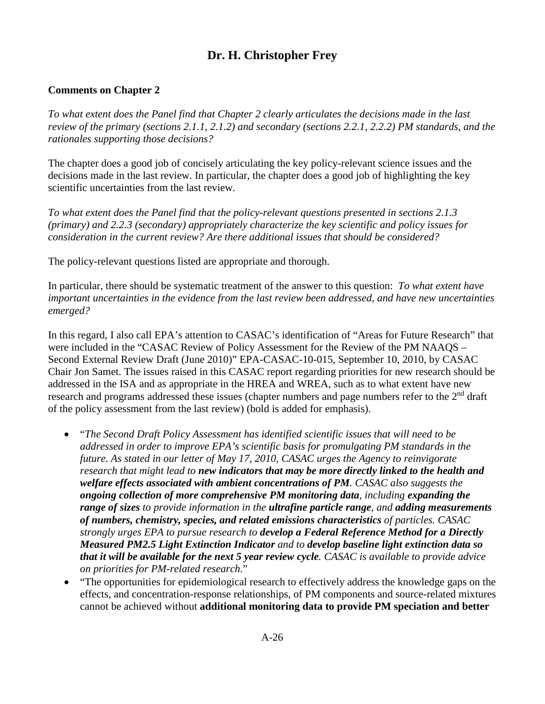# **Dr. H. Christopher Frey**

## <span id="page-40-0"></span>**Comments on Chapter 2**

*To what extent does the Panel find that Chapter 2 clearly articulates the decisions made in the last review of the primary (sections 2.1.1, 2.1.2) and secondary (sections 2.2.1, 2.2.2) PM standards, and the rationales supporting those decisions?*

The chapter does a good job of concisely articulating the key policy-relevant science issues and the decisions made in the last review. In particular, the chapter does a good job of highlighting the key scientific uncertainties from the last review.

*To what extent does the Panel find that the policy-relevant questions presented in sections 2.1.3 (primary) and 2.2.3 (secondary) appropriately characterize the key scientific and policy issues for consideration in the current review? Are there additional issues that should be considered?*

The policy-relevant questions listed are appropriate and thorough.

In particular, there should be systematic treatment of the answer to this question: *To what extent have important uncertainties in the evidence from the last review been addressed, and have new uncertainties emerged?*

In this regard, I also call EPA's attention to CASAC's identification of "Areas for Future Research" that were included in the "CASAC Review of Policy Assessment for the Review of the PM NAAQS – Second External Review Draft (June 2010)" EPA-CASAC-10-015, September 10, 2010, by CASAC Chair Jon Samet. The issues raised in this CASAC report regarding priorities for new research should be addressed in the ISA and as appropriate in the HREA and WREA, such as to what extent have new research and programs addressed these issues (chapter numbers and page numbers refer to the 2<sup>nd</sup> draft of the policy assessment from the last review) (bold is added for emphasis).

- "*The Second Draft Policy Assessment has identified scientific issues that will need to be addressed in order to improve EPA's scientific basis for promulgating PM standards in the future. As stated in our letter of May 17, 2010, CASAC urges the Agency to reinvigorate research that might lead to new indicators that may be more directly linked to the health and welfare effects associated with ambient concentrations of PM. CASAC also suggests the ongoing collection of more comprehensive PM monitoring data, including expanding the range of sizes to provide information in the ultrafine particle range, and adding measurements of numbers, chemistry, species, and related emissions characteristics of particles. CASAC strongly urges EPA to pursue research to develop a Federal Reference Method for a Directly Measured PM2.5 Light Extinction Indicator and to develop baseline light extinction data so that it will be available for the next 5 year review cycle. CASAC is available to provide advice on priorities for PM-related research*."
- "The opportunities for epidemiological research to effectively address the knowledge gaps on the effects, and concentration-response relationships, of PM components and source-related mixtures cannot be achieved without **additional monitoring data to provide PM speciation and better**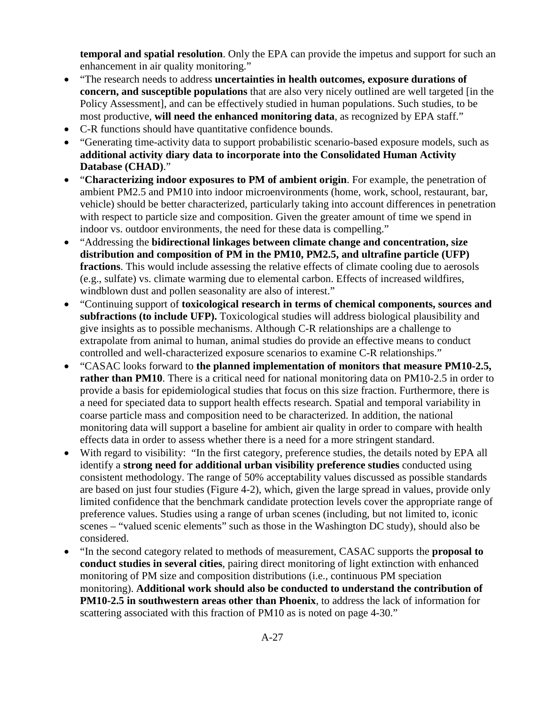**temporal and spatial resolution**. Only the EPA can provide the impetus and support for such an enhancement in air quality monitoring."

- "The research needs to address **uncertainties in health outcomes, exposure durations of concern, and susceptible populations** that are also very nicely outlined are well targeted [in the Policy Assessment], and can be effectively studied in human populations. Such studies, to be most productive, **will need the enhanced monitoring data**, as recognized by EPA staff."
- C-R functions should have quantitative confidence bounds.
- "Generating time-activity data to support probabilistic scenario-based exposure models, such as **additional activity diary data to incorporate into the Consolidated Human Activity Database (CHAD)**."
- "**Characterizing indoor exposures to PM of ambient origin**. For example, the penetration of ambient PM2.5 and PM10 into indoor microenvironments (home, work, school, restaurant, bar, vehicle) should be better characterized, particularly taking into account differences in penetration with respect to particle size and composition. Given the greater amount of time we spend in indoor vs. outdoor environments, the need for these data is compelling."
- "Addressing the **bidirectional linkages between climate change and concentration, size distribution and composition of PM in the PM10, PM2.5, and ultrafine particle (UFP) fractions**. This would include assessing the relative effects of climate cooling due to aerosols (e.g., sulfate) vs. climate warming due to elemental carbon. Effects of increased wildfires, windblown dust and pollen seasonality are also of interest."
- "Continuing support of **toxicological research in terms of chemical components, sources and subfractions (to include UFP).** Toxicological studies will address biological plausibility and give insights as to possible mechanisms. Although C-R relationships are a challenge to extrapolate from animal to human, animal studies do provide an effective means to conduct controlled and well-characterized exposure scenarios to examine C-R relationships."
- "CASAC looks forward to **the planned implementation of monitors that measure PM10-2.5, rather than PM10**. There is a critical need for national monitoring data on PM10-2.5 in order to provide a basis for epidemiological studies that focus on this size fraction. Furthermore, there is a need for speciated data to support health effects research. Spatial and temporal variability in coarse particle mass and composition need to be characterized. In addition, the national monitoring data will support a baseline for ambient air quality in order to compare with health effects data in order to assess whether there is a need for a more stringent standard.
- With regard to visibility: "In the first category, preference studies, the details noted by EPA all identify a **strong need for additional urban visibility preference studies** conducted using consistent methodology. The range of 50% acceptability values discussed as possible standards are based on just four studies (Figure 4-2), which, given the large spread in values, provide only limited confidence that the benchmark candidate protection levels cover the appropriate range of preference values. Studies using a range of urban scenes (including, but not limited to, iconic scenes – "valued scenic elements" such as those in the Washington DC study), should also be considered.
- "In the second category related to methods of measurement, CASAC supports the **proposal to conduct studies in several cities**, pairing direct monitoring of light extinction with enhanced monitoring of PM size and composition distributions (i.e., continuous PM speciation monitoring). **Additional work should also be conducted to understand the contribution of PM10-2.5 in southwestern areas other than Phoenix**, to address the lack of information for scattering associated with this fraction of PM10 as is noted on page 4-30."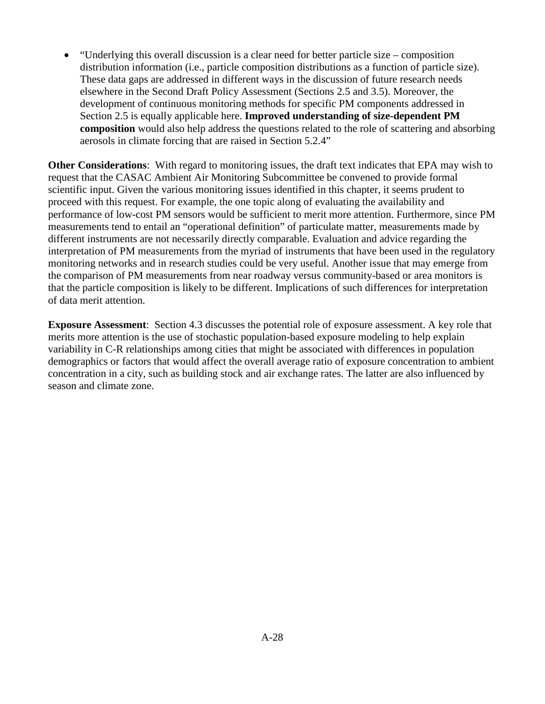• "Underlying this overall discussion is a clear need for better particle size – composition distribution information (i.e., particle composition distributions as a function of particle size). These data gaps are addressed in different ways in the discussion of future research needs elsewhere in the Second Draft Policy Assessment (Sections 2.5 and 3.5). Moreover, the development of continuous monitoring methods for specific PM components addressed in Section 2.5 is equally applicable here. **Improved understanding of size-dependent PM composition** would also help address the questions related to the role of scattering and absorbing aerosols in climate forcing that are raised in Section 5.2.4"

**Other Considerations**: With regard to monitoring issues, the draft text indicates that EPA may wish to request that the CASAC Ambient Air Monitoring Subcommittee be convened to provide formal scientific input. Given the various monitoring issues identified in this chapter, it seems prudent to proceed with this request. For example, the one topic along of evaluating the availability and performance of low-cost PM sensors would be sufficient to merit more attention. Furthermore, since PM measurements tend to entail an "operational definition" of particulate matter, measurements made by different instruments are not necessarily directly comparable. Evaluation and advice regarding the interpretation of PM measurements from the myriad of instruments that have been used in the regulatory monitoring networks and in research studies could be very useful. Another issue that may emerge from the comparison of PM measurements from near roadway versus community-based or area monitors is that the particle composition is likely to be different. Implications of such differences for interpretation of data merit attention.

**Exposure Assessment**: Section 4.3 discusses the potential role of exposure assessment. A key role that merits more attention is the use of stochastic population-based exposure modeling to help explain variability in C-R relationships among cities that might be associated with differences in population demographics or factors that would affect the overall average ratio of exposure concentration to ambient concentration in a city, such as building stock and air exchange rates. The latter are also influenced by season and climate zone.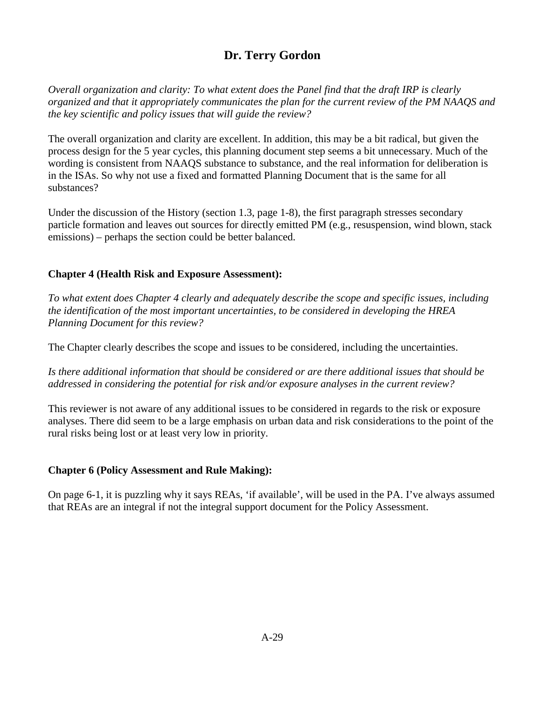# **Dr. Terry Gordon**

<span id="page-43-0"></span>*Overall organization and clarity: To what extent does the Panel find that the draft IRP is clearly organized and that it appropriately communicates the plan for the current review of the PM NAAQS and the key scientific and policy issues that will guide the review?*

The overall organization and clarity are excellent. In addition, this may be a bit radical, but given the process design for the 5 year cycles, this planning document step seems a bit unnecessary. Much of the wording is consistent from NAAQS substance to substance, and the real information for deliberation is in the ISAs. So why not use a fixed and formatted Planning Document that is the same for all substances?

Under the discussion of the History (section 1.3, page 1-8), the first paragraph stresses secondary particle formation and leaves out sources for directly emitted PM (e.g., resuspension, wind blown, stack emissions) – perhaps the section could be better balanced.

## **Chapter 4 (Health Risk and Exposure Assessment):**

*To what extent does Chapter 4 clearly and adequately describe the scope and specific issues, including the identification of the most important uncertainties, to be considered in developing the HREA Planning Document for this review?*

The Chapter clearly describes the scope and issues to be considered, including the uncertainties.

*Is there additional information that should be considered or are there additional issues that should be addressed in considering the potential for risk and/or exposure analyses in the current review?* 

This reviewer is not aware of any additional issues to be considered in regards to the risk or exposure analyses. There did seem to be a large emphasis on urban data and risk considerations to the point of the rural risks being lost or at least very low in priority.

### **Chapter 6 (Policy Assessment and Rule Making):**

On page 6-1, it is puzzling why it says REAs, 'if available', will be used in the PA. I've always assumed that REAs are an integral if not the integral support document for the Policy Assessment.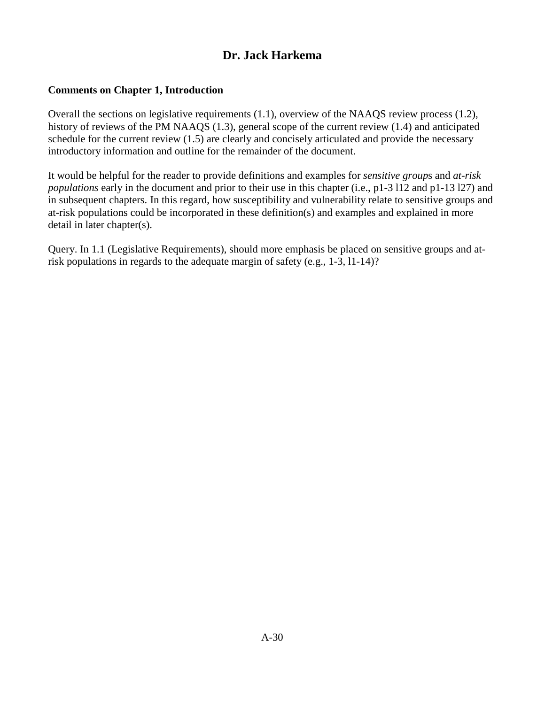## **Dr. Jack Harkema**

## <span id="page-44-0"></span>**Comments on Chapter 1, Introduction**

Overall the sections on legislative requirements (1.1), overview of the NAAQS review process (1.2), history of reviews of the PM NAAQS (1.3), general scope of the current review (1.4) and anticipated schedule for the current review (1.5) are clearly and concisely articulated and provide the necessary introductory information and outline for the remainder of the document.

It would be helpful for the reader to provide definitions and examples for *sensitive group*s and *at-risk populations* early in the document and prior to their use in this chapter (i.e., p1-3 l12 and p1-13 l27) and in subsequent chapters. In this regard, how susceptibility and vulnerability relate to sensitive groups and at-risk populations could be incorporated in these definition(s) and examples and explained in more detail in later chapter(s).

Query. In 1.1 (Legislative Requirements), should more emphasis be placed on sensitive groups and atrisk populations in regards to the adequate margin of safety (e.g., 1-3, l1-14)?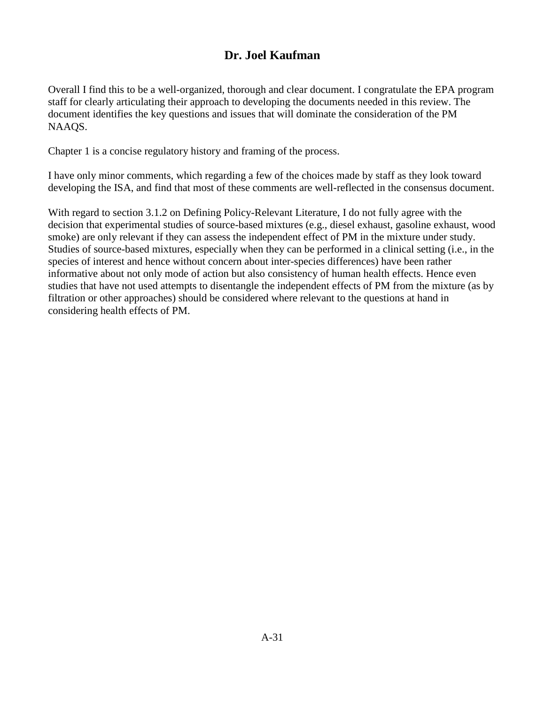## **Dr. Joel Kaufman**

<span id="page-45-0"></span>Overall I find this to be a well-organized, thorough and clear document. I congratulate the EPA program staff for clearly articulating their approach to developing the documents needed in this review. The document identifies the key questions and issues that will dominate the consideration of the PM NAAQS.

Chapter 1 is a concise regulatory history and framing of the process.

I have only minor comments, which regarding a few of the choices made by staff as they look toward developing the ISA, and find that most of these comments are well-reflected in the consensus document.

With regard to section 3.1.2 on Defining Policy-Relevant Literature, I do not fully agree with the decision that experimental studies of source-based mixtures (e.g., diesel exhaust, gasoline exhaust, wood smoke) are only relevant if they can assess the independent effect of PM in the mixture under study. Studies of source-based mixtures, especially when they can be performed in a clinical setting (i.e., in the species of interest and hence without concern about inter-species differences) have been rather informative about not only mode of action but also consistency of human health effects. Hence even studies that have not used attempts to disentangle the independent effects of PM from the mixture (as by filtration or other approaches) should be considered where relevant to the questions at hand in considering health effects of PM.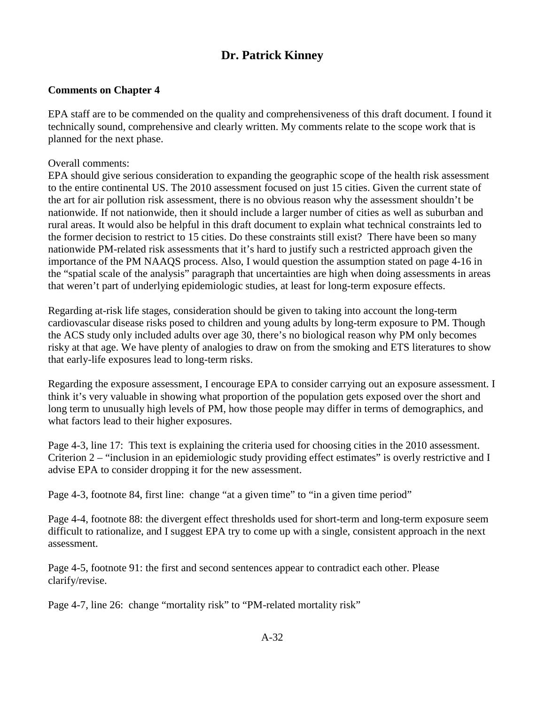# **Dr. Patrick Kinney**

### <span id="page-46-0"></span>**Comments on Chapter 4**

EPA staff are to be commended on the quality and comprehensiveness of this draft document. I found it technically sound, comprehensive and clearly written. My comments relate to the scope work that is planned for the next phase.

Overall comments:

EPA should give serious consideration to expanding the geographic scope of the health risk assessment to the entire continental US. The 2010 assessment focused on just 15 cities. Given the current state of the art for air pollution risk assessment, there is no obvious reason why the assessment shouldn't be nationwide. If not nationwide, then it should include a larger number of cities as well as suburban and rural areas. It would also be helpful in this draft document to explain what technical constraints led to the former decision to restrict to 15 cities. Do these constraints still exist? There have been so many nationwide PM-related risk assessments that it's hard to justify such a restricted approach given the importance of the PM NAAQS process. Also, I would question the assumption stated on page 4-16 in the "spatial scale of the analysis" paragraph that uncertainties are high when doing assessments in areas that weren't part of underlying epidemiologic studies, at least for long-term exposure effects.

Regarding at-risk life stages, consideration should be given to taking into account the long-term cardiovascular disease risks posed to children and young adults by long-term exposure to PM. Though the ACS study only included adults over age 30, there's no biological reason why PM only becomes risky at that age. We have plenty of analogies to draw on from the smoking and ETS literatures to show that early-life exposures lead to long-term risks.

Regarding the exposure assessment, I encourage EPA to consider carrying out an exposure assessment. I think it's very valuable in showing what proportion of the population gets exposed over the short and long term to unusually high levels of PM, how those people may differ in terms of demographics, and what factors lead to their higher exposures.

Page 4-3, line 17: This text is explaining the criteria used for choosing cities in the 2010 assessment. Criterion 2 – "inclusion in an epidemiologic study providing effect estimates" is overly restrictive and I advise EPA to consider dropping it for the new assessment.

Page 4-3, footnote 84, first line: change "at a given time" to "in a given time period"

Page 4-4, footnote 88: the divergent effect thresholds used for short-term and long-term exposure seem difficult to rationalize, and I suggest EPA try to come up with a single, consistent approach in the next assessment.

Page 4-5, footnote 91: the first and second sentences appear to contradict each other. Please clarify/revise.

Page 4-7, line 26: change "mortality risk" to "PM-related mortality risk"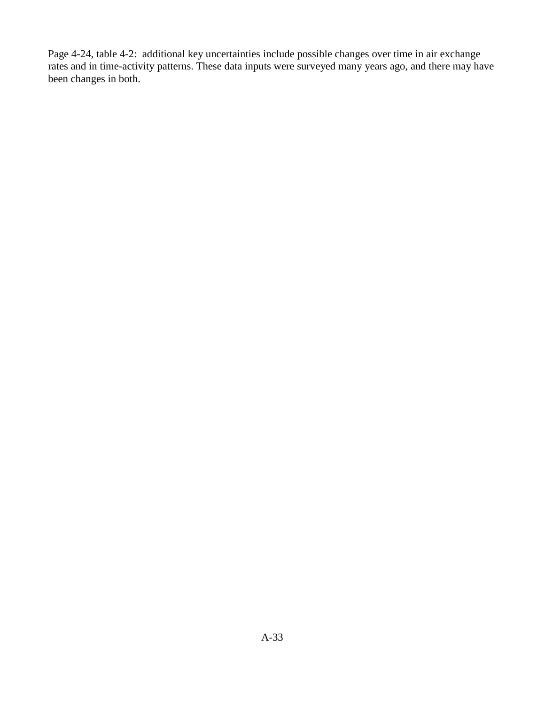Page 4-24, table 4-2: additional key uncertainties include possible changes over time in air exchange rates and in time-activity patterns. These data inputs were surveyed many years ago, and there may have been changes in both.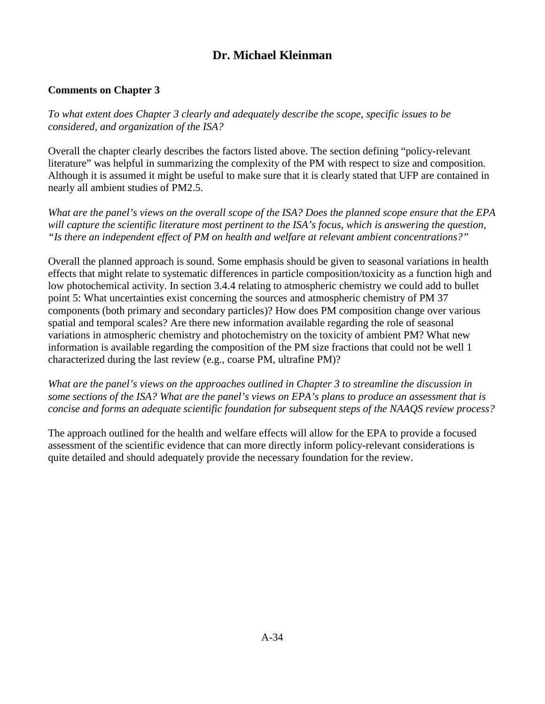# **Dr. Michael Kleinman**

## <span id="page-48-0"></span>**Comments on Chapter 3**

*To what extent does Chapter 3 clearly and adequately describe the scope, specific issues to be considered, and organization of the ISA?*

Overall the chapter clearly describes the factors listed above. The section defining "policy-relevant literature" was helpful in summarizing the complexity of the PM with respect to size and composition. Although it is assumed it might be useful to make sure that it is clearly stated that UFP are contained in nearly all ambient studies of PM2.5.

*What are the panel's views on the overall scope of the ISA? Does the planned scope ensure that the EPA will capture the scientific literature most pertinent to the ISA's focus, which is answering the question, "Is there an independent effect of PM on health and welfare at relevant ambient concentrations?"*

Overall the planned approach is sound. Some emphasis should be given to seasonal variations in health effects that might relate to systematic differences in particle composition/toxicity as a function high and low photochemical activity. In section 3.4.4 relating to atmospheric chemistry we could add to bullet point 5: What uncertainties exist concerning the sources and atmospheric chemistry of PM 37 components (both primary and secondary particles)? How does PM composition change over various spatial and temporal scales? Are there new information available regarding the role of seasonal variations in atmospheric chemistry and photochemistry on the toxicity of ambient PM? What new information is available regarding the composition of the PM size fractions that could not be well 1 characterized during the last review (e.g., coarse PM, ultrafine PM)?

*What are the panel's views on the approaches outlined in Chapter 3 to streamline the discussion in some sections of the ISA? What are the panel's views on EPA's plans to produce an assessment that is concise and forms an adequate scientific foundation for subsequent steps of the NAAQS review process?*

The approach outlined for the health and welfare effects will allow for the EPA to provide a focused assessment of the scientific evidence that can more directly inform policy-relevant considerations is quite detailed and should adequately provide the necessary foundation for the review.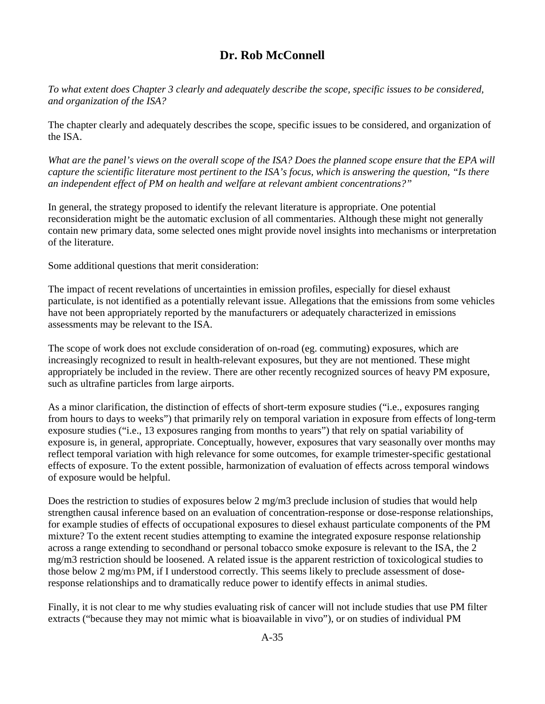## **Dr. Rob McConnell**

<span id="page-49-0"></span>*To what extent does Chapter 3 clearly and adequately describe the scope, specific issues to be considered, and organization of the ISA?* 

The chapter clearly and adequately describes the scope, specific issues to be considered, and organization of the ISA.

*What are the panel's views on the overall scope of the ISA? Does the planned scope ensure that the EPA will capture the scientific literature most pertinent to the ISA's focus, which is answering the question, "Is there an independent effect of PM on health and welfare at relevant ambient concentrations?"* 

In general, the strategy proposed to identify the relevant literature is appropriate. One potential reconsideration might be the automatic exclusion of all commentaries. Although these might not generally contain new primary data, some selected ones might provide novel insights into mechanisms or interpretation of the literature.

Some additional questions that merit consideration:

The impact of recent revelations of uncertainties in emission profiles, especially for diesel exhaust particulate, is not identified as a potentially relevant issue. Allegations that the emissions from some vehicles have not been appropriately reported by the manufacturers or adequately characterized in emissions assessments may be relevant to the ISA.

The scope of work does not exclude consideration of on-road (eg. commuting) exposures, which are increasingly recognized to result in health-relevant exposures, but they are not mentioned. These might appropriately be included in the review. There are other recently recognized sources of heavy PM exposure, such as ultrafine particles from large airports.

As a minor clarification, the distinction of effects of short-term exposure studies ("i.e., exposures ranging from hours to days to weeks") that primarily rely on temporal variation in exposure from effects of long-term exposure studies ("i.e., 13 exposures ranging from months to years") that rely on spatial variability of exposure is, in general, appropriate. Conceptually, however, exposures that vary seasonally over months may reflect temporal variation with high relevance for some outcomes, for example trimester-specific gestational effects of exposure. To the extent possible, harmonization of evaluation of effects across temporal windows of exposure would be helpful.

Does the restriction to studies of exposures below 2 mg/m3 preclude inclusion of studies that would help strengthen causal inference based on an evaluation of concentration-response or dose-response relationships, for example studies of effects of occupational exposures to diesel exhaust particulate components of the PM mixture? To the extent recent studies attempting to examine the integrated exposure response relationship across a range extending to secondhand or personal tobacco smoke exposure is relevant to the ISA, the 2 mg/m3 restriction should be loosened. A related issue is the apparent restriction of toxicological studies to those below 2 mg/m3 PM, if I understood correctly. This seems likely to preclude assessment of doseresponse relationships and to dramatically reduce power to identify effects in animal studies.

Finally, it is not clear to me why studies evaluating risk of cancer will not include studies that use PM filter extracts ("because they may not mimic what is bioavailable in vivo"), or on studies of individual PM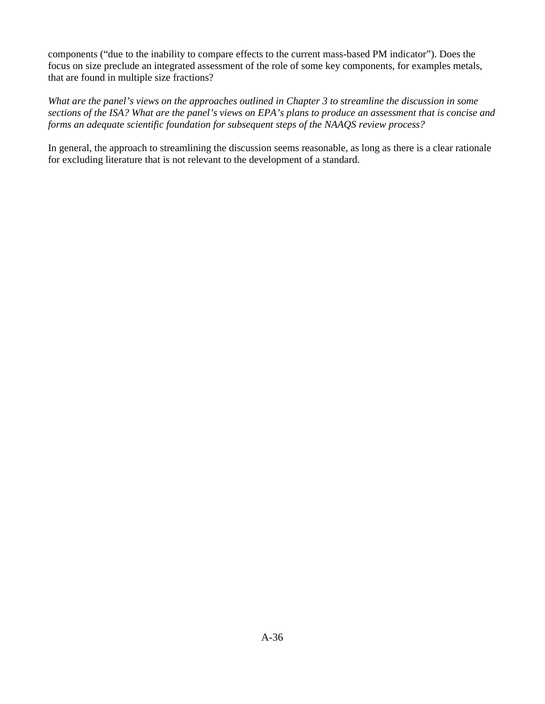components ("due to the inability to compare effects to the current mass-based PM indicator"). Does the focus on size preclude an integrated assessment of the role of some key components, for examples metals, that are found in multiple size fractions?

*What are the panel's views on the approaches outlined in Chapter 3 to streamline the discussion in some sections of the ISA? What are the panel's views on EPA's plans to produce an assessment that is concise and forms an adequate scientific foundation for subsequent steps of the NAAQS review process?* 

In general, the approach to streamlining the discussion seems reasonable, as long as there is a clear rationale for excluding literature that is not relevant to the development of a standard.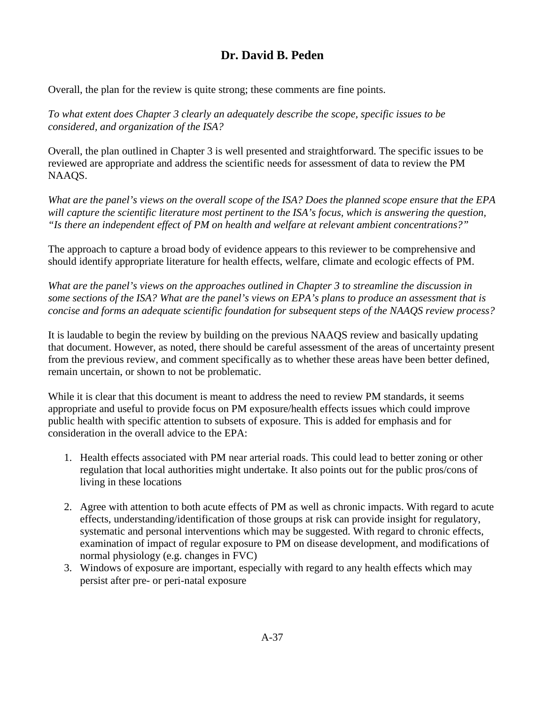# **Dr. David B. Peden**

<span id="page-51-0"></span>Overall, the plan for the review is quite strong; these comments are fine points.

*To what extent does Chapter 3 clearly an adequately describe the scope, specific issues to be considered, and organization of the ISA?*

Overall, the plan outlined in Chapter 3 is well presented and straightforward. The specific issues to be reviewed are appropriate and address the scientific needs for assessment of data to review the PM NAAQS.

*What are the panel's views on the overall scope of the ISA? Does the planned scope ensure that the EPA will capture the scientific literature most pertinent to the ISA's focus, which is answering the question, "Is there an independent effect of PM on health and welfare at relevant ambient concentrations?"*

The approach to capture a broad body of evidence appears to this reviewer to be comprehensive and should identify appropriate literature for health effects, welfare, climate and ecologic effects of PM.

*What are the panel's views on the approaches outlined in Chapter 3 to streamline the discussion in some sections of the ISA? What are the panel's views on EPA's plans to produce an assessment that is concise and forms an adequate scientific foundation for subsequent steps of the NAAQS review process?*

It is laudable to begin the review by building on the previous NAAQS review and basically updating that document. However, as noted, there should be careful assessment of the areas of uncertainty present from the previous review, and comment specifically as to whether these areas have been better defined, remain uncertain, or shown to not be problematic.

While it is clear that this document is meant to address the need to review PM standards, it seems appropriate and useful to provide focus on PM exposure/health effects issues which could improve public health with specific attention to subsets of exposure. This is added for emphasis and for consideration in the overall advice to the EPA:

- 1. Health effects associated with PM near arterial roads. This could lead to better zoning or other regulation that local authorities might undertake. It also points out for the public pros/cons of living in these locations
- 2. Agree with attention to both acute effects of PM as well as chronic impacts. With regard to acute effects, understanding/identification of those groups at risk can provide insight for regulatory, systematic and personal interventions which may be suggested. With regard to chronic effects, examination of impact of regular exposure to PM on disease development, and modifications of normal physiology (e.g. changes in FVC)
- 3. Windows of exposure are important, especially with regard to any health effects which may persist after pre- or peri-natal exposure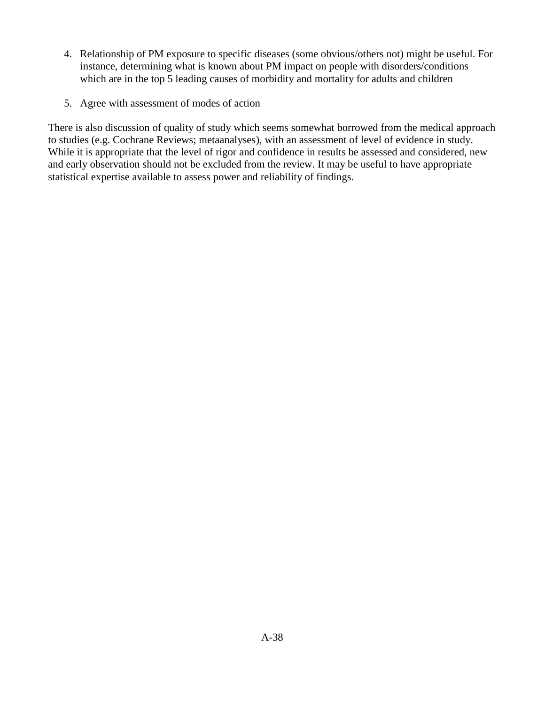- 4. Relationship of PM exposure to specific diseases (some obvious/others not) might be useful. For instance, determining what is known about PM impact on people with disorders/conditions which are in the top 5 leading causes of morbidity and mortality for adults and children
- 5. Agree with assessment of modes of action

There is also discussion of quality of study which seems somewhat borrowed from the medical approach to studies (e.g. Cochrane Reviews; metaanalyses), with an assessment of level of evidence in study. While it is appropriate that the level of rigor and confidence in results be assessed and considered, new and early observation should not be excluded from the review. It may be useful to have appropriate statistical expertise available to assess power and reliability of findings.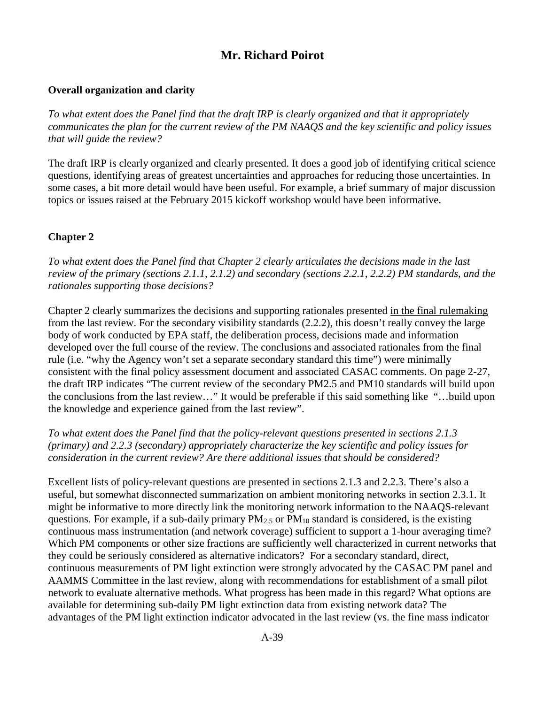## **Mr. Richard Poirot**

### <span id="page-53-0"></span>**Overall organization and clarity**

*To what extent does the Panel find that the draft IRP is clearly organized and that it appropriately communicates the plan for the current review of the PM NAAQS and the key scientific and policy issues that will guide the review?* 

The draft IRP is clearly organized and clearly presented. It does a good job of identifying critical science questions, identifying areas of greatest uncertainties and approaches for reducing those uncertainties. In some cases, a bit more detail would have been useful. For example, a brief summary of major discussion topics or issues raised at the February 2015 kickoff workshop would have been informative.

### **Chapter 2**

*To what extent does the Panel find that Chapter 2 clearly articulates the decisions made in the last review of the primary (sections 2.1.1, 2.1.2) and secondary (sections 2.2.1, 2.2.2) PM standards, and the rationales supporting those decisions?* 

Chapter 2 clearly summarizes the decisions and supporting rationales presented in the final rulemaking from the last review. For the secondary visibility standards (2.2.2), this doesn't really convey the large body of work conducted by EPA staff, the deliberation process, decisions made and information developed over the full course of the review. The conclusions and associated rationales from the final rule (i.e. "why the Agency won't set a separate secondary standard this time") were minimally consistent with the final policy assessment document and associated CASAC comments. On page 2-27, the draft IRP indicates "The current review of the secondary PM2.5 and PM10 standards will build upon the conclusions from the last review…" It would be preferable if this said something like "…build upon the knowledge and experience gained from the last review".

*To what extent does the Panel find that the policy-relevant questions presented in sections 2.1.3 (primary) and 2.2.3 (secondary) appropriately characterize the key scientific and policy issues for consideration in the current review? Are there additional issues that should be considered?* 

Excellent lists of policy-relevant questions are presented in sections 2.1.3 and 2.2.3. There's also a useful, but somewhat disconnected summarization on ambient monitoring networks in section 2.3.1. It might be informative to more directly link the monitoring network information to the NAAQS-relevant questions. For example, if a sub-daily primary  $PM_{2.5}$  or  $PM_{10}$  standard is considered, is the existing continuous mass instrumentation (and network coverage) sufficient to support a 1-hour averaging time? Which PM components or other size fractions are sufficiently well characterized in current networks that they could be seriously considered as alternative indicators? For a secondary standard, direct, continuous measurements of PM light extinction were strongly advocated by the CASAC PM panel and AAMMS Committee in the last review, along with recommendations for establishment of a small pilot network to evaluate alternative methods. What progress has been made in this regard? What options are available for determining sub-daily PM light extinction data from existing network data? The advantages of the PM light extinction indicator advocated in the last review (vs. the fine mass indicator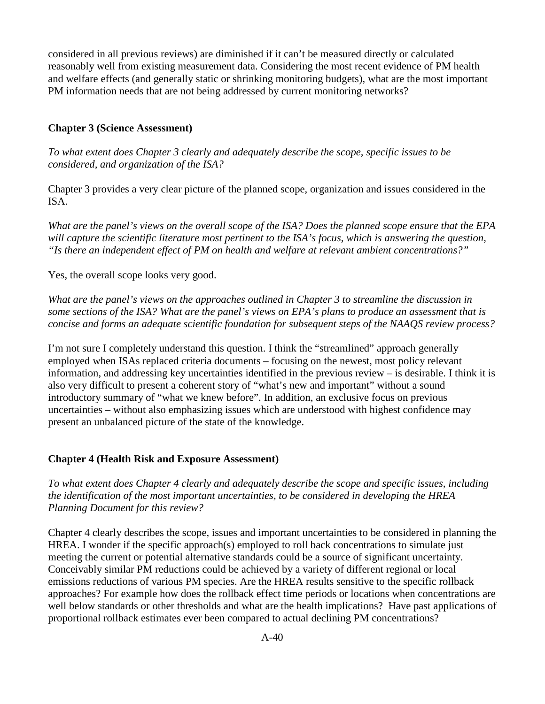considered in all previous reviews) are diminished if it can't be measured directly or calculated reasonably well from existing measurement data. Considering the most recent evidence of PM health and welfare effects (and generally static or shrinking monitoring budgets), what are the most important PM information needs that are not being addressed by current monitoring networks?

#### **Chapter 3 (Science Assessment)**

*To what extent does Chapter 3 clearly and adequately describe the scope, specific issues to be considered, and organization of the ISA?* 

Chapter 3 provides a very clear picture of the planned scope, organization and issues considered in the ISA.

*What are the panel's views on the overall scope of the ISA? Does the planned scope ensure that the EPA will capture the scientific literature most pertinent to the ISA's focus, which is answering the question, "Is there an independent effect of PM on health and welfare at relevant ambient concentrations?"* 

Yes, the overall scope looks very good.

*What are the panel's views on the approaches outlined in Chapter 3 to streamline the discussion in some sections of the ISA? What are the panel's views on EPA's plans to produce an assessment that is concise and forms an adequate scientific foundation for subsequent steps of the NAAQS review process?* 

I'm not sure I completely understand this question. I think the "streamlined" approach generally employed when ISAs replaced criteria documents – focusing on the newest, most policy relevant information, and addressing key uncertainties identified in the previous review – is desirable. I think it is also very difficult to present a coherent story of "what's new and important" without a sound introductory summary of "what we knew before". In addition, an exclusive focus on previous uncertainties – without also emphasizing issues which are understood with highest confidence may present an unbalanced picture of the state of the knowledge.

#### **Chapter 4 (Health Risk and Exposure Assessment)**

*To what extent does Chapter 4 clearly and adequately describe the scope and specific issues, including the identification of the most important uncertainties, to be considered in developing the HREA Planning Document for this review?* 

Chapter 4 clearly describes the scope, issues and important uncertainties to be considered in planning the HREA. I wonder if the specific approach(s) employed to roll back concentrations to simulate just meeting the current or potential alternative standards could be a source of significant uncertainty. Conceivably similar PM reductions could be achieved by a variety of different regional or local emissions reductions of various PM species. Are the HREA results sensitive to the specific rollback approaches? For example how does the rollback effect time periods or locations when concentrations are well below standards or other thresholds and what are the health implications? Have past applications of proportional rollback estimates ever been compared to actual declining PM concentrations?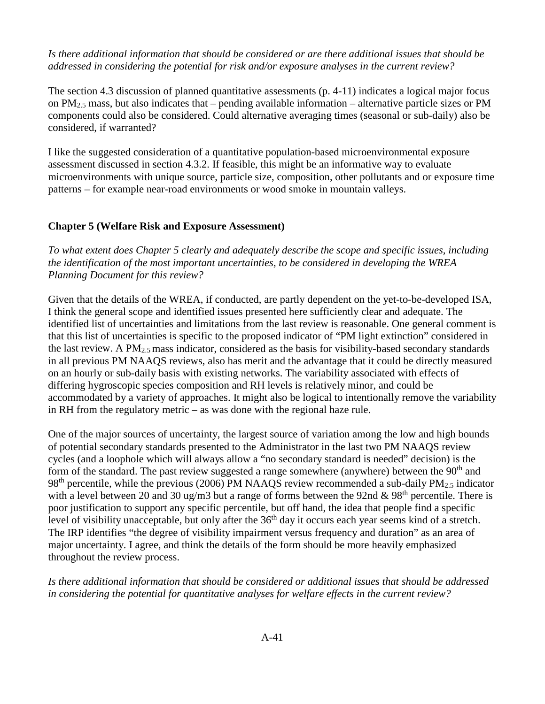*Is there additional information that should be considered or are there additional issues that should be addressed in considering the potential for risk and/or exposure analyses in the current review?* 

The section 4.3 discussion of planned quantitative assessments (p. 4-11) indicates a logical major focus on PM2.5 mass, but also indicates that – pending available information – alternative particle sizes or PM components could also be considered. Could alternative averaging times (seasonal or sub-daily) also be considered, if warranted?

I like the suggested consideration of a quantitative population-based microenvironmental exposure assessment discussed in section 4.3.2. If feasible, this might be an informative way to evaluate microenvironments with unique source, particle size, composition, other pollutants and or exposure time patterns – for example near-road environments or wood smoke in mountain valleys.

#### **Chapter 5 (Welfare Risk and Exposure Assessment)**

*To what extent does Chapter 5 clearly and adequately describe the scope and specific issues, including the identification of the most important uncertainties, to be considered in developing the WREA Planning Document for this review?*

Given that the details of the WREA, if conducted, are partly dependent on the yet-to-be-developed ISA, I think the general scope and identified issues presented here sufficiently clear and adequate. The identified list of uncertainties and limitations from the last review is reasonable. One general comment is that this list of uncertainties is specific to the proposed indicator of "PM light extinction" considered in the last review. A  $PM_{2.5}$  mass indicator, considered as the basis for visibility-based secondary standards in all previous PM NAAQS reviews, also has merit and the advantage that it could be directly measured on an hourly or sub-daily basis with existing networks. The variability associated with effects of differing hygroscopic species composition and RH levels is relatively minor, and could be accommodated by a variety of approaches. It might also be logical to intentionally remove the variability in RH from the regulatory metric – as was done with the regional haze rule.

One of the major sources of uncertainty, the largest source of variation among the low and high bounds of potential secondary standards presented to the Administrator in the last two PM NAAQS review cycles (and a loophole which will always allow a "no secondary standard is needed" decision) is the form of the standard. The past review suggested a range somewhere (anywhere) between the  $90<sup>th</sup>$  and  $98<sup>th</sup>$  percentile, while the previous (2006) PM NAAQS review recommended a sub-daily PM<sub>2.5</sub> indicator with a level between 20 and 30 ug/m3 but a range of forms between the 92nd  $& 98<sup>th</sup>$  percentile. There is poor justification to support any specific percentile, but off hand, the idea that people find a specific level of visibility unacceptable, but only after the 36<sup>th</sup> day it occurs each year seems kind of a stretch. The IRP identifies "the degree of visibility impairment versus frequency and duration" as an area of major uncertainty. I agree, and think the details of the form should be more heavily emphasized throughout the review process.

*Is there additional information that should be considered or additional issues that should be addressed in considering the potential for quantitative analyses for welfare effects in the current review?*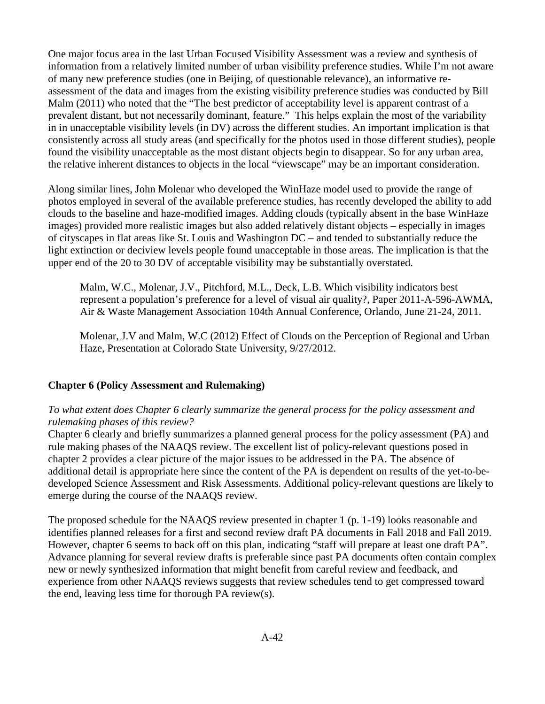One major focus area in the last Urban Focused Visibility Assessment was a review and synthesis of information from a relatively limited number of urban visibility preference studies. While I'm not aware of many new preference studies (one in Beijing, of questionable relevance), an informative reassessment of the data and images from the existing visibility preference studies was conducted by Bill Malm (2011) who noted that the "The best predictor of acceptability level is apparent contrast of a prevalent distant, but not necessarily dominant, feature." This helps explain the most of the variability in in unacceptable visibility levels (in DV) across the different studies. An important implication is that consistently across all study areas (and specifically for the photos used in those different studies), people found the visibility unacceptable as the most distant objects begin to disappear. So for any urban area, the relative inherent distances to objects in the local "viewscape" may be an important consideration.

Along similar lines, John Molenar who developed the WinHaze model used to provide the range of photos employed in several of the available preference studies, has recently developed the ability to add clouds to the baseline and haze-modified images. Adding clouds (typically absent in the base WinHaze images) provided more realistic images but also added relatively distant objects – especially in images of cityscapes in flat areas like St. Louis and Washington DC – and tended to substantially reduce the light extinction or deciview levels people found unacceptable in those areas. The implication is that the upper end of the 20 to 30 DV of acceptable visibility may be substantially overstated.

Malm, W.C., Molenar, J.V., Pitchford, M.L., Deck, L.B. Which visibility indicators best represent a population's preference for a level of visual air quality?, Paper 2011-A-596-AWMA, Air & Waste Management Association 104th Annual Conference, Orlando, June 21-24, 2011.

Molenar, J.V and Malm, W.C (2012) Effect of Clouds on the Perception of Regional and Urban Haze, Presentation at Colorado State University, 9/27/2012.

### **Chapter 6 (Policy Assessment and Rulemaking)**

#### *To what extent does Chapter 6 clearly summarize the general process for the policy assessment and rulemaking phases of this review?*

Chapter 6 clearly and briefly summarizes a planned general process for the policy assessment (PA) and rule making phases of the NAAQS review. The excellent list of policy-relevant questions posed in chapter 2 provides a clear picture of the major issues to be addressed in the PA. The absence of additional detail is appropriate here since the content of the PA is dependent on results of the yet-to-bedeveloped Science Assessment and Risk Assessments. Additional policy-relevant questions are likely to emerge during the course of the NAAQS review.

The proposed schedule for the NAAQS review presented in chapter 1 (p. 1-19) looks reasonable and identifies planned releases for a first and second review draft PA documents in Fall 2018 and Fall 2019. However, chapter 6 seems to back off on this plan, indicating "staff will prepare at least one draft PA". Advance planning for several review drafts is preferable since past PA documents often contain complex new or newly synthesized information that might benefit from careful review and feedback, and experience from other NAAQS reviews suggests that review schedules tend to get compressed toward the end, leaving less time for thorough PA review(s).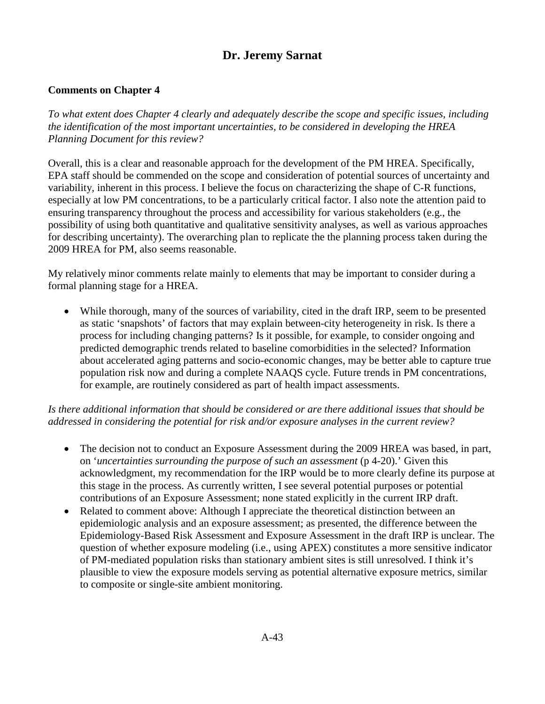# **Dr. Jeremy Sarnat**

## <span id="page-57-0"></span>**Comments on Chapter 4**

*To what extent does Chapter 4 clearly and adequately describe the scope and specific issues, including the identification of the most important uncertainties, to be considered in developing the HREA Planning Document for this review?*

Overall, this is a clear and reasonable approach for the development of the PM HREA. Specifically, EPA staff should be commended on the scope and consideration of potential sources of uncertainty and variability, inherent in this process. I believe the focus on characterizing the shape of C-R functions, especially at low PM concentrations, to be a particularly critical factor. I also note the attention paid to ensuring transparency throughout the process and accessibility for various stakeholders (e.g., the possibility of using both quantitative and qualitative sensitivity analyses, as well as various approaches for describing uncertainty). The overarching plan to replicate the the planning process taken during the 2009 HREA for PM, also seems reasonable.

My relatively minor comments relate mainly to elements that may be important to consider during a formal planning stage for a HREA.

• While thorough, many of the sources of variability, cited in the draft IRP, seem to be presented as static 'snapshots' of factors that may explain between-city heterogeneity in risk. Is there a process for including changing patterns? Is it possible, for example, to consider ongoing and predicted demographic trends related to baseline comorbidities in the selected? Information about accelerated aging patterns and socio-economic changes, may be better able to capture true population risk now and during a complete NAAQS cycle. Future trends in PM concentrations, for example, are routinely considered as part of health impact assessments.

*Is there additional information that should be considered or are there additional issues that should be addressed in considering the potential for risk and/or exposure analyses in the current review?*

- The decision not to conduct an Exposure Assessment during the 2009 HREA was based, in part, on '*uncertainties surrounding the purpose of such an assessment* (p 4-20).' Given this acknowledgment, my recommendation for the IRP would be to more clearly define its purpose at this stage in the process. As currently written, I see several potential purposes or potential contributions of an Exposure Assessment; none stated explicitly in the current IRP draft.
- Related to comment above: Although I appreciate the theoretical distinction between an epidemiologic analysis and an exposure assessment; as presented, the difference between the Epidemiology-Based Risk Assessment and Exposure Assessment in the draft IRP is unclear. The question of whether exposure modeling (i.e., using APEX) constitutes a more sensitive indicator of PM-mediated population risks than stationary ambient sites is still unresolved. I think it's plausible to view the exposure models serving as potential alternative exposure metrics, similar to composite or single-site ambient monitoring.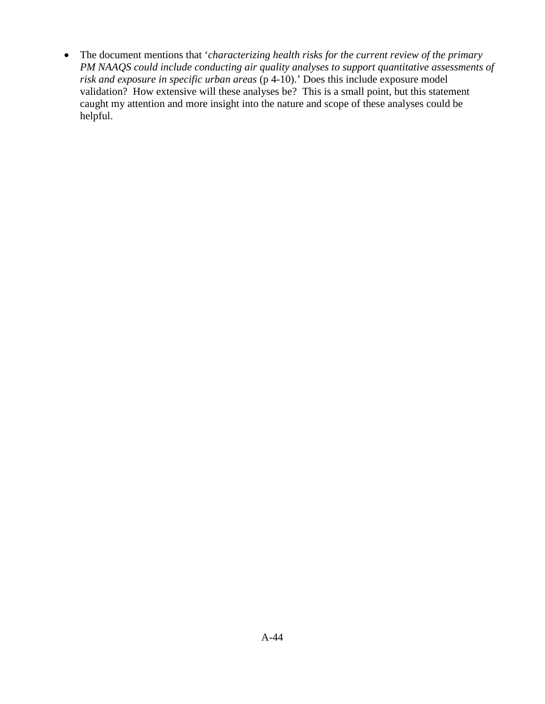• The document mentions that '*characterizing health risks for the current review of the primary PM NAAQS could include conducting air quality analyses to support quantitative assessments of risk and exposure in specific urban areas* (p 4-10).' Does this include exposure model validation? How extensive will these analyses be? This is a small point, but this statement caught my attention and more insight into the nature and scope of these analyses could be helpful.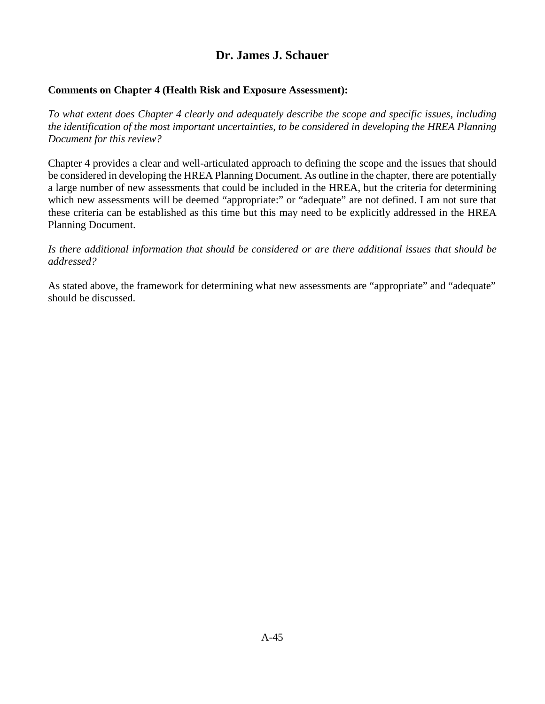## **Dr. James J. Schauer**

## <span id="page-59-0"></span>**Comments on Chapter 4 (Health Risk and Exposure Assessment):**

*To what extent does Chapter 4 clearly and adequately describe the scope and specific issues, including the identification of the most important uncertainties, to be considered in developing the HREA Planning Document for this review?* 

Chapter 4 provides a clear and well-articulated approach to defining the scope and the issues that should be considered in developing the HREA Planning Document. As outline in the chapter, there are potentially a large number of new assessments that could be included in the HREA, but the criteria for determining which new assessments will be deemed "appropriate:" or "adequate" are not defined. I am not sure that these criteria can be established as this time but this may need to be explicitly addressed in the HREA Planning Document.

*Is there additional information that should be considered or are there additional issues that should be addressed?* 

As stated above, the framework for determining what new assessments are "appropriate" and "adequate" should be discussed.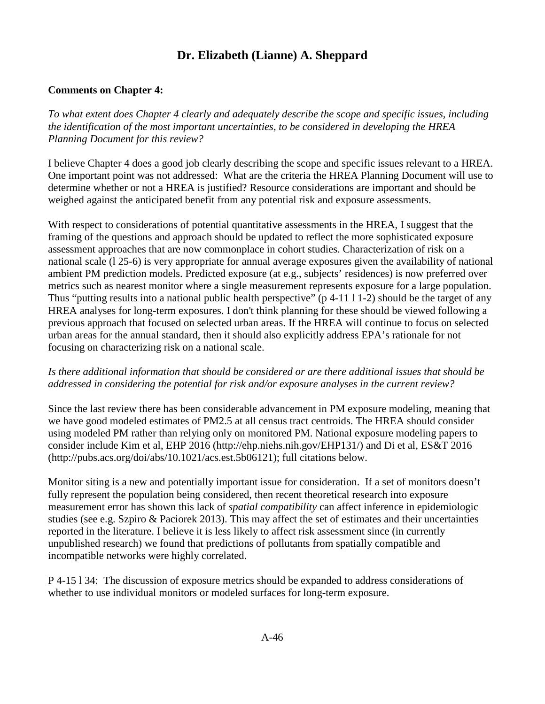# **Dr. Elizabeth (Lianne) A. Sheppard**

## <span id="page-60-0"></span>**Comments on Chapter 4:**

*To what extent does Chapter 4 clearly and adequately describe the scope and specific issues, including the identification of the most important uncertainties, to be considered in developing the HREA Planning Document for this review?*

I believe Chapter 4 does a good job clearly describing the scope and specific issues relevant to a HREA. One important point was not addressed: What are the criteria the HREA Planning Document will use to determine whether or not a HREA is justified? Resource considerations are important and should be weighed against the anticipated benefit from any potential risk and exposure assessments.

With respect to considerations of potential quantitative assessments in the HREA, I suggest that the framing of the questions and approach should be updated to reflect the more sophisticated exposure assessment approaches that are now commonplace in cohort studies. Characterization of risk on a national scale (l 25-6) is very appropriate for annual average exposures given the availability of national ambient PM prediction models. Predicted exposure (at e.g., subjects' residences) is now preferred over metrics such as nearest monitor where a single measurement represents exposure for a large population. Thus "putting results into a national public health perspective" (p 4-11 l 1-2) should be the target of any HREA analyses for long-term exposures. I don't think planning for these should be viewed following a previous approach that focused on selected urban areas. If the HREA will continue to focus on selected urban areas for the annual standard, then it should also explicitly address EPA's rationale for not focusing on characterizing risk on a national scale.

### *Is there additional information that should be considered or are there additional issues that should be addressed in considering the potential for risk and/or exposure analyses in the current review?*

Since the last review there has been considerable advancement in PM exposure modeling, meaning that we have good modeled estimates of PM2.5 at all census tract centroids. The HREA should consider using modeled PM rather than relying only on monitored PM. National exposure modeling papers to consider include Kim et al, EHP 2016 (http://ehp.niehs.nih.gov/EHP131/) and Di et al, ES&T 2016 (http://pubs.acs.org/doi/abs/10.1021/acs.est.5b06121); full citations below.

Monitor siting is a new and potentially important issue for consideration. If a set of monitors doesn't fully represent the population being considered, then recent theoretical research into exposure measurement error has shown this lack of *spatial compatibility* can affect inference in epidemiologic studies (see e.g. Szpiro & Paciorek 2013). This may affect the set of estimates and their uncertainties reported in the literature. I believe it is less likely to affect risk assessment since (in currently unpublished research) we found that predictions of pollutants from spatially compatible and incompatible networks were highly correlated.

P 4-15 l 34: The discussion of exposure metrics should be expanded to address considerations of whether to use individual monitors or modeled surfaces for long-term exposure.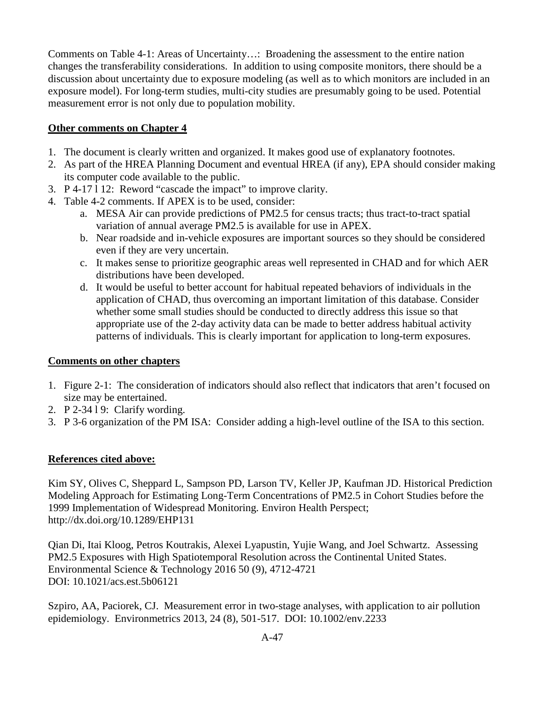Comments on Table 4-1: Areas of Uncertainty…: Broadening the assessment to the entire nation changes the transferability considerations. In addition to using composite monitors, there should be a discussion about uncertainty due to exposure modeling (as well as to which monitors are included in an exposure model). For long-term studies, multi-city studies are presumably going to be used. Potential measurement error is not only due to population mobility.

## **Other comments on Chapter 4**

- 1. The document is clearly written and organized. It makes good use of explanatory footnotes.
- 2. As part of the HREA Planning Document and eventual HREA (if any), EPA should consider making its computer code available to the public.
- 3. P 4-17 l 12: Reword "cascade the impact" to improve clarity.
- 4. Table 4-2 comments. If APEX is to be used, consider:
	- a. MESA Air can provide predictions of PM2.5 for census tracts; thus tract-to-tract spatial variation of annual average PM2.5 is available for use in APEX.
	- b. Near roadside and in-vehicle exposures are important sources so they should be considered even if they are very uncertain.
	- c. It makes sense to prioritize geographic areas well represented in CHAD and for which AER distributions have been developed.
	- d. It would be useful to better account for habitual repeated behaviors of individuals in the application of CHAD, thus overcoming an important limitation of this database. Consider whether some small studies should be conducted to directly address this issue so that appropriate use of the 2-day activity data can be made to better address habitual activity patterns of individuals. This is clearly important for application to long-term exposures.

### **Comments on other chapters**

- 1. Figure 2-1: The consideration of indicators should also reflect that indicators that aren't focused on size may be entertained.
- 2. P 2-34 l 9: Clarify wording.
- 3. P 3-6 organization of the PM ISA: Consider adding a high-level outline of the ISA to this section.

### **References cited above:**

Kim SY, Olives C, Sheppard L, Sampson PD, Larson TV, Keller JP, Kaufman JD. Historical Prediction Modeling Approach for Estimating Long-Term Concentrations of PM2.5 in Cohort Studies before the 1999 Implementation of Widespread Monitoring. Environ Health Perspect; http://dx.doi.org/10.1289/EHP131

Qian Di, Itai Kloog, Petros Koutrakis, Alexei Lyapustin, Yujie Wang, and Joel Schwartz. Assessing PM2.5 Exposures with High Spatiotemporal Resolution across the Continental United States. Environmental Science & Technology 2016 50 (9), 4712-4721 DOI: 10.1021/acs.est.5b06121

Szpiro, AA, Paciorek, CJ. Measurement error in two-stage analyses, with application to air pollution epidemiology. Environmetrics 2013, 24 (8), 501-517. DOI: 10.1002/env.2233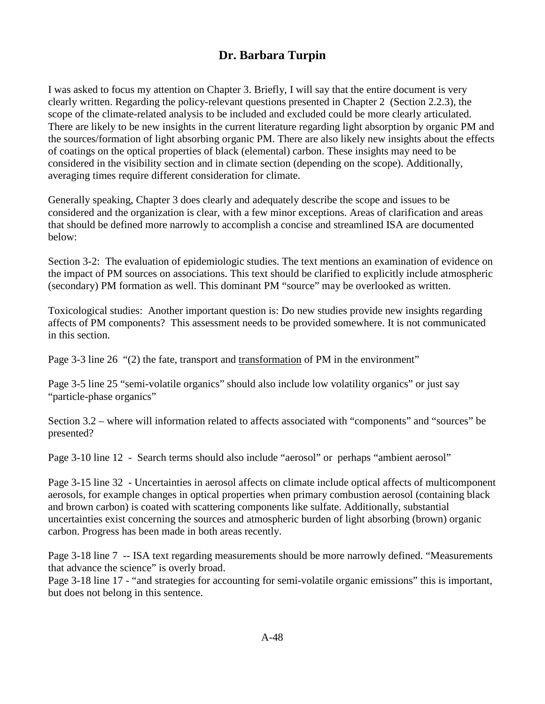## **Dr. Barbara Turpin**

<span id="page-62-0"></span>I was asked to focus my attention on Chapter 3. Briefly, I will say that the entire document is very clearly written. Regarding the policy-relevant questions presented in Chapter 2 (Section 2.2.3), the scope of the climate-related analysis to be included and excluded could be more clearly articulated. There are likely to be new insights in the current literature regarding light absorption by organic PM and the sources/formation of light absorbing organic PM. There are also likely new insights about the effects of coatings on the optical properties of black (elemental) carbon. These insights may need to be considered in the visibility section and in climate section (depending on the scope). Additionally, averaging times require different consideration for climate.

Generally speaking, Chapter 3 does clearly and adequately describe the scope and issues to be considered and the organization is clear, with a few minor exceptions. Areas of clarification and areas that should be defined more narrowly to accomplish a concise and streamlined ISA are documented below:

Section 3-2: The evaluation of epidemiologic studies. The text mentions an examination of evidence on the impact of PM sources on associations. This text should be clarified to explicitly include atmospheric (secondary) PM formation as well. This dominant PM "source" may be overlooked as written.

Toxicological studies: Another important question is: Do new studies provide new insights regarding affects of PM components? This assessment needs to be provided somewhere. It is not communicated in this section.

Page 3-3 line 26 "(2) the fate, transport and transformation of PM in the environment"

Page 3-5 line 25 "semi-volatile organics" should also include low volatility organics" or just say "particle-phase organics"

Section 3.2 – where will information related to affects associated with "components" and "sources" be presented?

Page 3-10 line 12 - Search terms should also include "aerosol" or perhaps "ambient aerosol"

Page 3-15 line 32 - Uncertainties in aerosol affects on climate include optical affects of multicomponent aerosols, for example changes in optical properties when primary combustion aerosol (containing black and brown carbon) is coated with scattering components like sulfate. Additionally, substantial uncertainties exist concerning the sources and atmospheric burden of light absorbing (brown) organic carbon. Progress has been made in both areas recently.

Page 3-18 line 7 -- ISA text regarding measurements should be more narrowly defined. "Measurements that advance the science" is overly broad.

Page 3-18 line 17 - "and strategies for accounting for semi-volatile organic emissions" this is important, but does not belong in this sentence.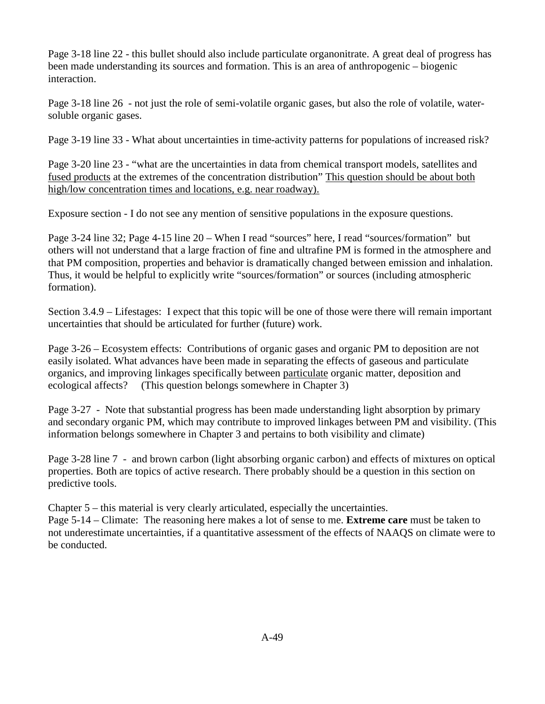Page 3-18 line 22 - this bullet should also include particulate organonitrate. A great deal of progress has been made understanding its sources and formation. This is an area of anthropogenic – biogenic interaction.

Page 3-18 line 26 - not just the role of semi-volatile organic gases, but also the role of volatile, watersoluble organic gases.

Page 3-19 line 33 - What about uncertainties in time-activity patterns for populations of increased risk?

Page 3-20 line 23 - "what are the uncertainties in data from chemical transport models, satellites and fused products at the extremes of the concentration distribution" This question should be about both high/low concentration times and locations, e.g. near roadway).

Exposure section - I do not see any mention of sensitive populations in the exposure questions.

Page 3-24 line 32; Page 4-15 line 20 – When I read "sources" here, I read "sources/formation" but others will not understand that a large fraction of fine and ultrafine PM is formed in the atmosphere and that PM composition, properties and behavior is dramatically changed between emission and inhalation. Thus, it would be helpful to explicitly write "sources/formation" or sources (including atmospheric formation).

Section 3.4.9 – Lifestages: I expect that this topic will be one of those were there will remain important uncertainties that should be articulated for further (future) work.

Page 3-26 – Ecosystem effects: Contributions of organic gases and organic PM to deposition are not easily isolated. What advances have been made in separating the effects of gaseous and particulate organics, and improving linkages specifically between particulate organic matter, deposition and ecological affects? (This question belongs somewhere in Chapter 3)

Page 3-27 - Note that substantial progress has been made understanding light absorption by primary and secondary organic PM, which may contribute to improved linkages between PM and visibility. (This information belongs somewhere in Chapter 3 and pertains to both visibility and climate)

Page 3-28 line 7 - and brown carbon (light absorbing organic carbon) and effects of mixtures on optical properties. Both are topics of active research. There probably should be a question in this section on predictive tools.

Chapter 5 – this material is very clearly articulated, especially the uncertainties.

Page 5-14 – Climate: The reasoning here makes a lot of sense to me. **Extreme care** must be taken to not underestimate uncertainties, if a quantitative assessment of the effects of NAAQS on climate were to be conducted.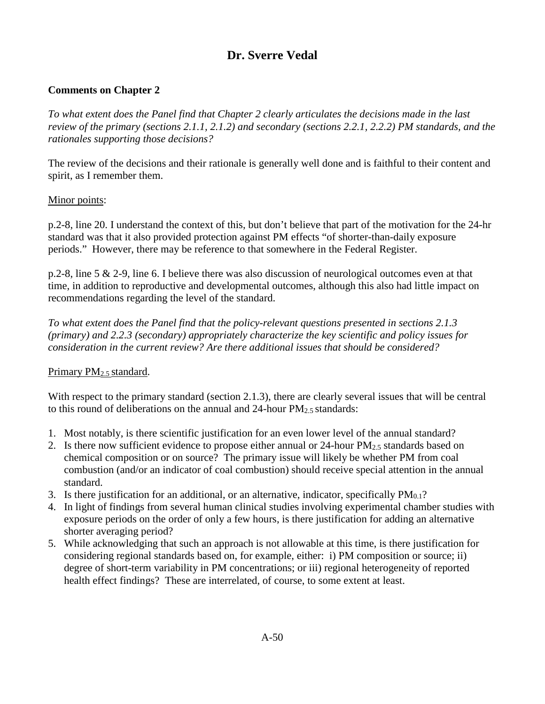# **Dr. Sverre Vedal**

## <span id="page-64-0"></span>**Comments on Chapter 2**

*To what extent does the Panel find that Chapter 2 clearly articulates the decisions made in the last review of the primary (sections 2.1.1, 2.1.2) and secondary (sections 2.2.1, 2.2.2) PM standards, and the rationales supporting those decisions?* 

The review of the decisions and their rationale is generally well done and is faithful to their content and spirit, as I remember them.

#### Minor points:

p.2-8, line 20. I understand the context of this, but don't believe that part of the motivation for the 24-hr standard was that it also provided protection against PM effects "of shorter-than-daily exposure periods." However, there may be reference to that somewhere in the Federal Register.

p.2-8, line 5 & 2-9, line 6. I believe there was also discussion of neurological outcomes even at that time, in addition to reproductive and developmental outcomes, although this also had little impact on recommendations regarding the level of the standard.

*To what extent does the Panel find that the policy-relevant questions presented in sections 2.1.3 (primary) and 2.2.3 (secondary) appropriately characterize the key scientific and policy issues for consideration in the current review? Are there additional issues that should be considered?* 

### Primary PM<sub>2.5</sub> standard.

With respect to the primary standard (section 2.1.3), there are clearly several issues that will be central to this round of deliberations on the annual and  $24$ -hour  $PM_{2.5}$  standards:

- 1. Most notably, is there scientific justification for an even lower level of the annual standard?
- 2. Is there now sufficient evidence to propose either annual or  $24$ -hour  $PM_{2.5}$  standards based on chemical composition or on source? The primary issue will likely be whether PM from coal combustion (and/or an indicator of coal combustion) should receive special attention in the annual standard.
- 3. Is there justification for an additional, or an alternative, indicator, specifically  $PM_{0.1}$ ?
- 4. In light of findings from several human clinical studies involving experimental chamber studies with exposure periods on the order of only a few hours, is there justification for adding an alternative shorter averaging period?
- 5. While acknowledging that such an approach is not allowable at this time, is there justification for considering regional standards based on, for example, either: i) PM composition or source; ii) degree of short-term variability in PM concentrations; or iii) regional heterogeneity of reported health effect findings? These are interrelated, of course, to some extent at least.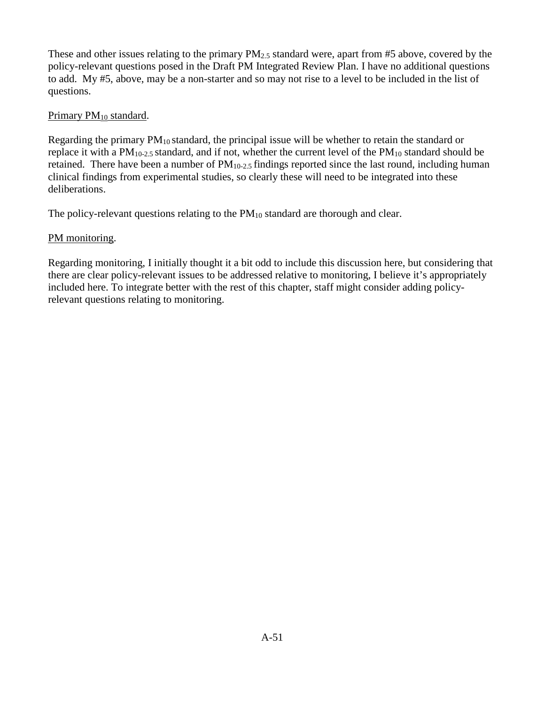These and other issues relating to the primary  $PM_{2.5}$  standard were, apart from #5 above, covered by the policy-relevant questions posed in the Draft PM Integrated Review Plan. I have no additional questions to add. My #5, above, may be a non-starter and so may not rise to a level to be included in the list of questions.

### Primary PM<sub>10</sub> standard.

Regarding the primary  $PM_{10}$  standard, the principal issue will be whether to retain the standard or replace it with a  $PM_{10-2.5}$  standard, and if not, whether the current level of the  $PM_{10}$  standard should be retained. There have been a number of  $PM_{10-2.5}$  findings reported since the last round, including human clinical findings from experimental studies, so clearly these will need to be integrated into these deliberations.

The policy-relevant questions relating to the  $PM_{10}$  standard are thorough and clear.

## PM monitoring.

Regarding monitoring, I initially thought it a bit odd to include this discussion here, but considering that there are clear policy-relevant issues to be addressed relative to monitoring, I believe it's appropriately included here. To integrate better with the rest of this chapter, staff might consider adding policyrelevant questions relating to monitoring.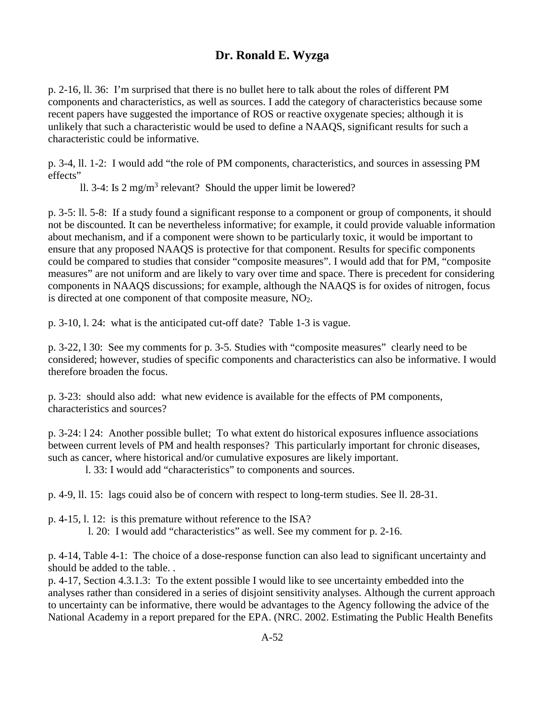# **Dr. Ronald E. Wyzga**

<span id="page-66-0"></span>p. 2-16, ll. 36: I'm surprised that there is no bullet here to talk about the roles of different PM components and characteristics, as well as sources. I add the category of characteristics because some recent papers have suggested the importance of ROS or reactive oxygenate species; although it is unlikely that such a characteristic would be used to define a NAAQS, significant results for such a characteristic could be informative.

p. 3-4, ll. 1-2: I would add "the role of PM components, characteristics, and sources in assessing PM effects"

ll. 3-4: Is  $2 \text{ mg/m}^3$  relevant? Should the upper limit be lowered?

p. 3-5: ll. 5-8: If a study found a significant response to a component or group of components, it should not be discounted. It can be nevertheless informative; for example, it could provide valuable information about mechanism, and if a component were shown to be particularly toxic, it would be important to ensure that any proposed NAAQS is protective for that component. Results for specific components could be compared to studies that consider "composite measures". I would add that for PM, "composite measures" are not uniform and are likely to vary over time and space. There is precedent for considering components in NAAQS discussions; for example, although the NAAQS is for oxides of nitrogen, focus is directed at one component of that composite measure, NO<sub>2</sub>.

p. 3-10, l. 24: what is the anticipated cut-off date? Table 1-3 is vague.

p. 3-22, l 30: See my comments for p. 3-5. Studies with "composite measures" clearly need to be considered; however, studies of specific components and characteristics can also be informative. I would therefore broaden the focus.

p. 3-23: should also add: what new evidence is available for the effects of PM components, characteristics and sources?

p. 3-24: l 24: Another possible bullet; To what extent do historical exposures influence associations between current levels of PM and health responses? This particularly important for chronic diseases, such as cancer, where historical and/or cumulative exposures are likely important.

l. 33: I would add "characteristics" to components and sources.

p. 4-9, ll. 15: lags couid also be of concern with respect to long-term studies. See ll. 28-31.

- p. 4-15, l. 12: is this premature without reference to the ISA?
	- l. 20: I would add "characteristics" as well. See my comment for p. 2-16.

p. 4-14, Table 4-1: The choice of a dose-response function can also lead to significant uncertainty and should be added to the table. .

p. 4-17, Section 4.3.1.3: To the extent possible I would like to see uncertainty embedded into the analyses rather than considered in a series of disjoint sensitivity analyses. Although the current approach to uncertainty can be informative, there would be advantages to the Agency following the advice of the National Academy in a report prepared for the EPA. (NRC. 2002. Estimating the Public Health Benefits